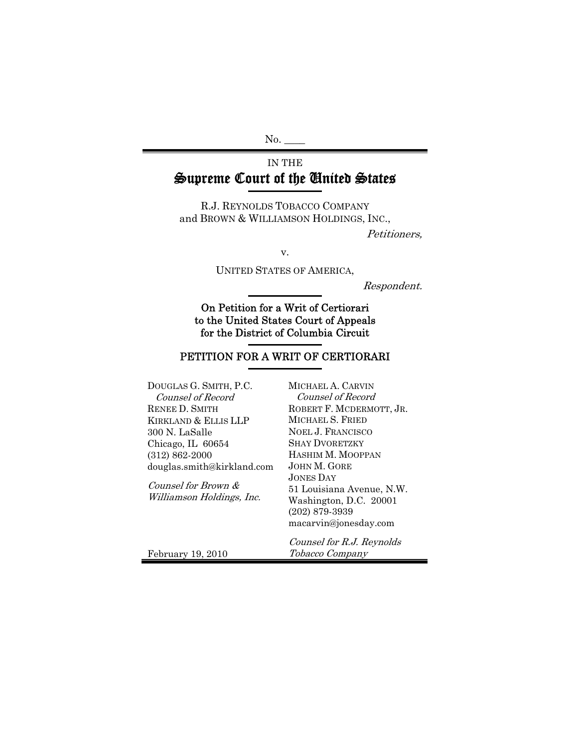$No.$ 

### IN THE Supreme Court of the United States

R.J. REYNOLDS TOBACCO COMPANY and BROWN & WILLIAMSON HOLDINGS, INC.,

Petitioners,

v.

UNITED STATES OF AMERICA,

Respondent.

On Petition for a Writ of Certiorari to the United States Court of Appeals for the District of Columbia Circuit

### PETITION FOR A WRIT OF CERTIORARI

| DOUGLAS G. SMITH, P.C.                           | MICHAEL A. CARVIN                                                                                             |
|--------------------------------------------------|---------------------------------------------------------------------------------------------------------------|
| Counsel of Record                                | Counsel of Record                                                                                             |
| <b>RENEE D. SMITH</b>                            | ROBERT F. MCDERMOTT, JR.                                                                                      |
| KIRKLAND & ELLIS LLP                             | MICHAEL S. FRIED                                                                                              |
| 300 N. LaSalle                                   | <b>NOEL J. FRANCISCO</b>                                                                                      |
| Chicago, IL 60654                                | <b>SHAY DVORETZKY</b>                                                                                         |
| $(312) 862 - 2000$                               | HASHIM M. MOOPPAN                                                                                             |
| douglas.smith@kirkland.com                       | JOHN M. GORE                                                                                                  |
| Counsel for Brown &<br>Williamson Holdings, Inc. | JONES DAY<br>51 Louisiana Avenue, N.W.<br>Washington, D.C. 20001<br>$(202)$ 879-3939<br>macarvin@jonesday.com |
| February 19, 2010                                | Counsel for R.J. Reynolds<br>Tobacco Company                                                                  |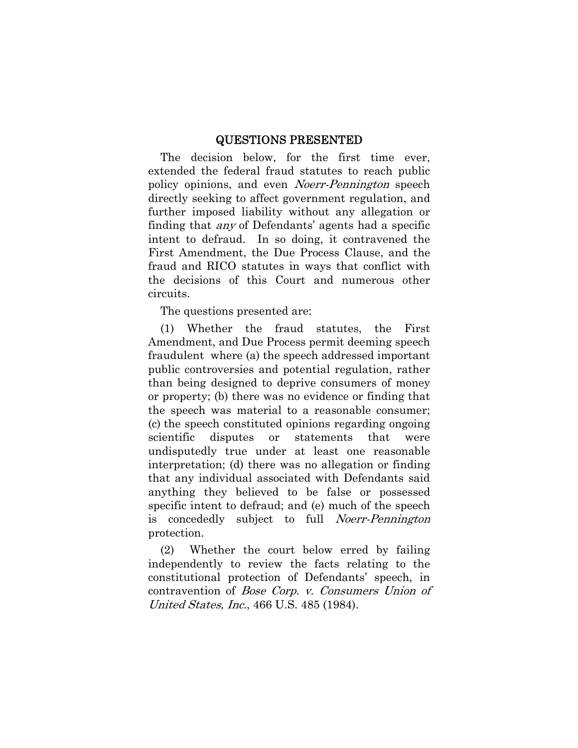#### QUESTIONS PRESENTED

The decision below, for the first time ever, extended the federal fraud statutes to reach public policy opinions, and even *Noerr-Pennington* speech directly seeking to affect government regulation, and further imposed liability without any allegation or finding that any of Defendants' agents had a specific intent to defraud. In so doing, it contravened the First Amendment, the Due Process Clause, and the fraud and RICO statutes in ways that conflict with the decisions of this Court and numerous other circuits.

The questions presented are:

(1) Whether the fraud statutes, the First Amendment, and Due Process permit deeming speech fraudulent where (a) the speech addressed important public controversies and potential regulation, rather than being designed to deprive consumers of money or property; (b) there was no evidence or finding that the speech was material to a reasonable consumer; (c) the speech constituted opinions regarding ongoing scientific disputes or statements that were undisputedly true under at least one reasonable interpretation; (d) there was no allegation or finding that any individual associated with Defendants said anything they believed to be false or possessed specific intent to defraud; and (e) much of the speech is concededly subject to full *Noerr-Pennington* protection.

(2) Whether the court below erred by failing independently to review the facts relating to the constitutional protection of Defendants' speech, in contravention of Bose Corp. v. Consumers Union of United States, Inc., 466 U.S. 485 (1984).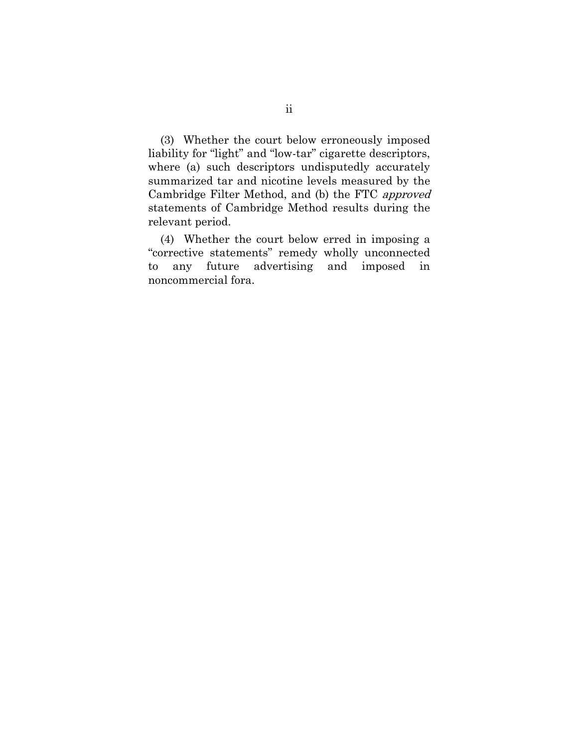(3) Whether the court below erroneously imposed liability for "light" and "low-tar" cigarette descriptors, where (a) such descriptors undisputedly accurately summarized tar and nicotine levels measured by the Cambridge Filter Method, and (b) the FTC approved statements of Cambridge Method results during the relevant period.

(4) Whether the court below erred in imposing a "corrective statements" remedy wholly unconnected to any future advertising and imposed in noncommercial fora.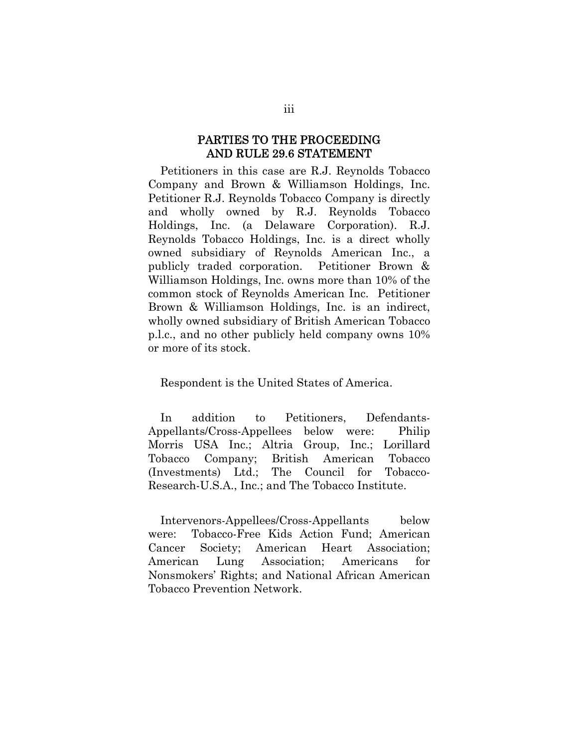#### PARTIES TO THE PROCEEDING AND RULE 29.6 STATEMENT

Petitioners in this case are R.J. Reynolds Tobacco Company and Brown & Williamson Holdings, Inc. Petitioner R.J. Reynolds Tobacco Company is directly and wholly owned by R.J. Reynolds Tobacco Holdings, Inc. (a Delaware Corporation). R.J. Reynolds Tobacco Holdings, Inc. is a direct wholly owned subsidiary of Reynolds American Inc., a publicly traded corporation. Petitioner Brown & Williamson Holdings, Inc. owns more than 10% of the common stock of Reynolds American Inc. Petitioner Brown & Williamson Holdings, Inc. is an indirect, wholly owned subsidiary of British American Tobacco p.l.c., and no other publicly held company owns 10% or more of its stock.

Respondent is the United States of America.

In addition to Petitioners, Defendants-Appellants/Cross-Appellees below were: Philip Morris USA Inc.; Altria Group, Inc.; Lorillard Tobacco Company; British American Tobacco (Investments) Ltd.; The Council for Tobacco-Research-U.S.A., Inc.; and The Tobacco Institute.

Intervenors-Appellees/Cross-Appellants below were: Tobacco-Free Kids Action Fund; American Cancer Society; American Heart Association; American Lung Association; Americans for Nonsmokers' Rights; and National African American Tobacco Prevention Network.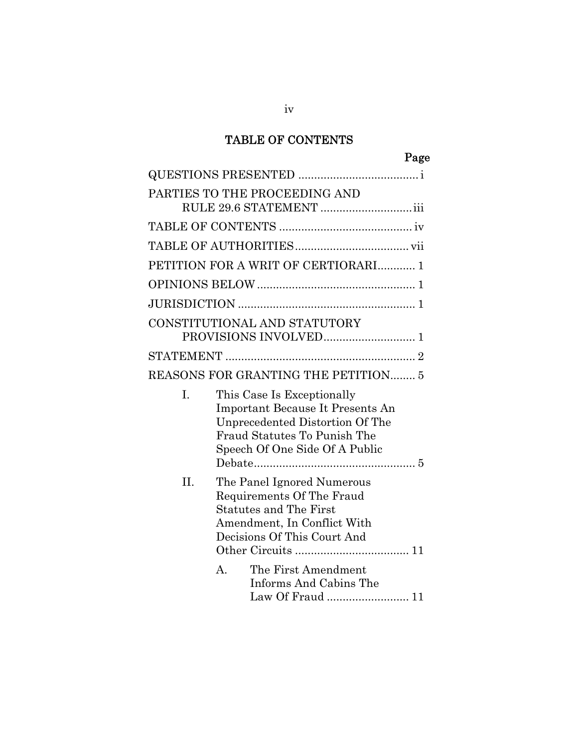### TABLE OF CONTENTS

|     | PARTIES TO THE PROCEEDING AND                                                                                                                                       |
|-----|---------------------------------------------------------------------------------------------------------------------------------------------------------------------|
|     |                                                                                                                                                                     |
|     |                                                                                                                                                                     |
|     | PETITION FOR A WRIT OF CERTIORARI 1                                                                                                                                 |
|     |                                                                                                                                                                     |
|     |                                                                                                                                                                     |
|     | CONSTITUTIONAL AND STATUTORY                                                                                                                                        |
|     |                                                                                                                                                                     |
|     | REASONS FOR GRANTING THE PETITION 5                                                                                                                                 |
| I.  | This Case Is Exceptionally<br>Important Because It Presents An<br>Unprecedented Distortion Of The<br>Fraud Statutes To Punish The<br>Speech Of One Side Of A Public |
| II. | The Panel Ignored Numerous<br>Requirements Of The Fraud<br><b>Statutes and The First</b><br>Amendment, In Conflict With<br>Decisions Of This Court And              |
|     | $\mathbf{A}$ .<br>The First Amendment<br>Informs And Cabins The<br>Law Of Fraud  11                                                                                 |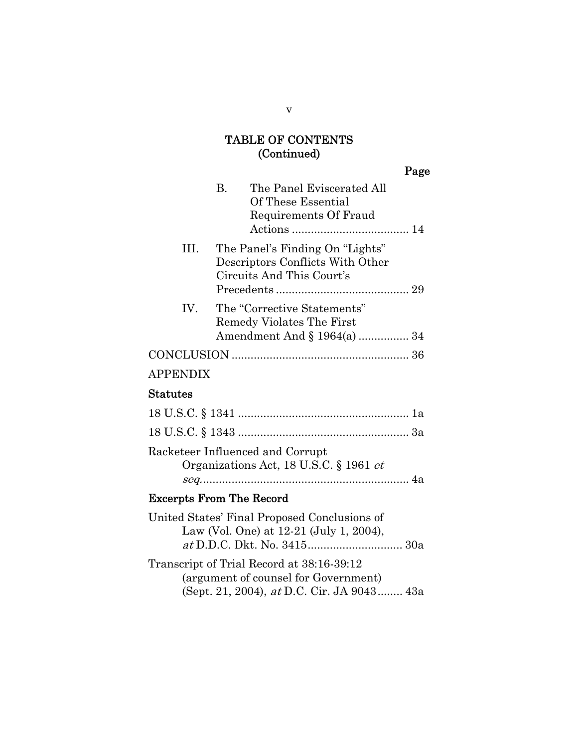### TABLE OF CONTENTS (Continued)

|                                 |    |                                                                                                  | Page |
|---------------------------------|----|--------------------------------------------------------------------------------------------------|------|
|                                 | B. | The Panel Eviscerated All<br>Of These Essential<br>Requirements Of Fraud                         |      |
| III.                            |    | The Panel's Finding On "Lights"<br>Descriptors Conflicts With Other<br>Circuits And This Court's |      |
| IV.                             |    | The "Corrective Statements"<br>Remedy Violates The First<br>Amendment And § 1964(a)  34          |      |
|                                 |    |                                                                                                  |      |
| <b>APPENDIX</b>                 |    |                                                                                                  |      |
| <b>Statutes</b>                 |    |                                                                                                  |      |
|                                 |    |                                                                                                  |      |
|                                 |    |                                                                                                  |      |
|                                 |    | Racketeer Influenced and Corrupt<br>Organizations Act, 18 U.S.C. § 1961 <i>et</i>                |      |
| <b>Excerpts From The Record</b> |    |                                                                                                  |      |

United States' Final Proposed Conclusions of Law (Vol. One) at 12-21 (July 1, 2004), at D.D.C. Dkt. No. 3415.............................. 30a

Transcript of Trial Record at 38:16-39:12 (argument of counsel for Government) (Sept. 21, 2004), at D.C. Cir. JA 9043........ 43a

v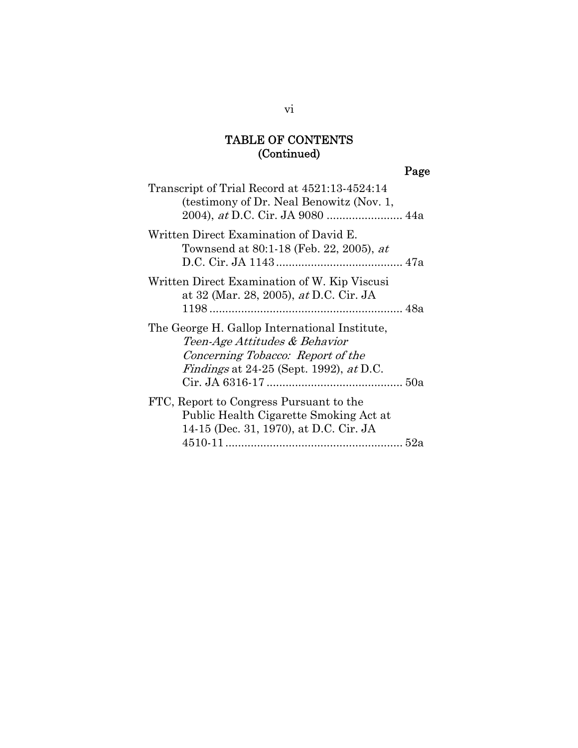# TABLE OF CONTENTS (Continued)

# Page

| Transcript of Trial Record at 4521:13-4524:14<br>(testimony of Dr. Neal Benowitz (Nov. 1,                                                                      |  |
|----------------------------------------------------------------------------------------------------------------------------------------------------------------|--|
| Written Direct Examination of David E.<br>Townsend at 80:1-18 (Feb. 22, 2005), at                                                                              |  |
| Written Direct Examination of W. Kip Viscusi<br>at 32 (Mar. 28, 2005), at D.C. Cir. JA                                                                         |  |
| The George H. Gallop International Institute,<br>Teen-Age Attitudes & Behavior<br>Concerning Tobacco: Report of the<br>Findings at 24-25 (Sept. 1992), at D.C. |  |
| FTC, Report to Congress Pursuant to the<br>Public Health Cigarette Smoking Act at<br>14-15 (Dec. 31, 1970), at D.C. Cir. JA                                    |  |
|                                                                                                                                                                |  |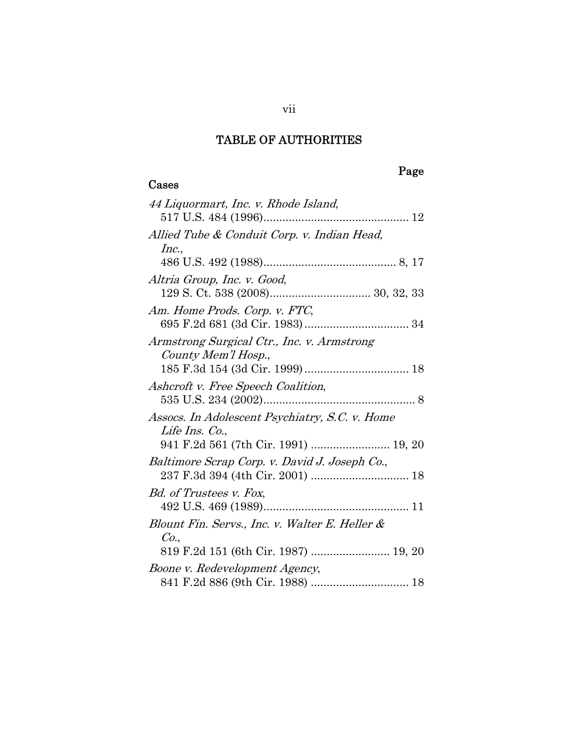### TABLE OF AUTHORITIES

Cases

# Page

| 44 Liquormart, Inc. v. Rhode Island,           |
|------------------------------------------------|
|                                                |
| Allied Tube & Conduit Corp. v. Indian Head,    |
| Inc.,                                          |
|                                                |
| Altria Group, Inc. v. Good,                    |
|                                                |
| Am. Home Prods. Corp. v. FTC,                  |
|                                                |
| Armstrong Surgical Ctr., Inc. v. Armstrong     |
| County Mem'l Hosp.,                            |
|                                                |
| Ashcroft v. Free Speech Coalition,             |
|                                                |
| Assocs. In Adolescent Psychiatry, S.C. v. Home |
| Life Ins. Co.,                                 |
| 941 F.2d 561 (7th Cir. 1991)  19, 20           |
| Baltimore Scrap Corp. v. David J. Joseph Co.,  |
|                                                |
| Bd. of Trustees v. Fox,                        |
|                                                |
| Blount Fin. Servs., Inc. v. Walter E. Heller & |
| Co.,                                           |
| 819 F.2d 151 (6th Cir. 1987)  19, 20           |
| Boone v. Redevelopment Agency,                 |
|                                                |

vii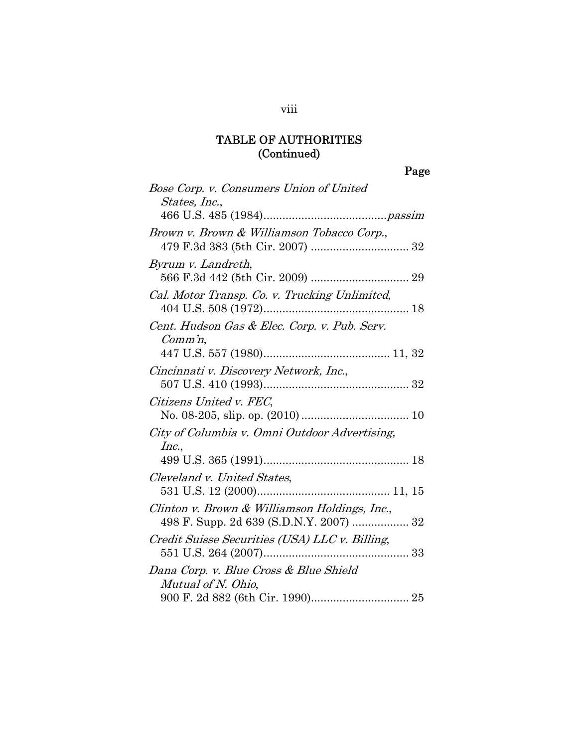| Bose Corp. v. Consumers Union of United                             |
|---------------------------------------------------------------------|
| States, Inc.,                                                       |
|                                                                     |
| Brown v. Brown & Williamson Tobacco Corp.,                          |
| Byrum v. Landreth,                                                  |
| Cal. Motor Transp. Co. v. Trucking Unlimited,                       |
| Cent. Hudson Gas & Elec. Corp. v. Pub. Serv.<br>$\mathit{Comm}'$ n, |
|                                                                     |
| Cincinnati v. Discovery Network, Inc.,                              |
| Citizens United v. FEC,                                             |
| City of Columbia v. Omni Outdoor Advertising,<br>Inc.,              |
|                                                                     |
| Cleveland v. United States,                                         |
| Clinton v. Brown & Williamson Holdings, Inc.,                       |
| Credit Suisse Securities (USA) LLC v. Billing,                      |
| Dana Corp. v. Blue Cross & Blue Shield<br>Mutual of N. Ohio,        |
|                                                                     |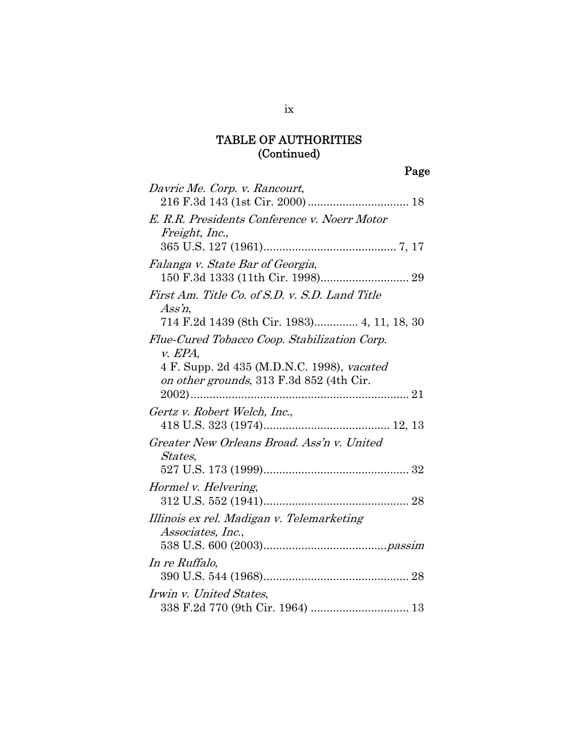| Davric Me. Corp. v. Rancourt,                                                          |
|----------------------------------------------------------------------------------------|
| E. R.R. Presidents Conference v. Noerr Motor<br>Freight, Inc.,                         |
|                                                                                        |
| Falanga v. State Bar of Georgia,                                                       |
| First Am. Title Co. of S.D. v. S.D. Land Title<br>$Ass'$ n,                            |
| 714 F.2d 1439 (8th Cir. 1983) 4, 11, 18, 30                                            |
| Flue-Cured Tobacco Coop. Stabilization Corp.<br>$v.$ EPA,                              |
| 4 F. Supp. 2d 435 (M.D.N.C. 1998), vacated<br>on other grounds, 313 F.3d 852 (4th Cir. |
| $2002)$                                                                                |
| Gertz v. Robert Welch, Inc.,                                                           |
| Greater New Orleans Broad. Ass'n v. United<br><i>States,</i>                           |
|                                                                                        |
| Hormel v. Helvering,                                                                   |
| Illinois ex rel. Madigan v. Telemarketing<br>Associates, Inc.,                         |
|                                                                                        |
| In re Ruffalo,                                                                         |
| Irwin v. United States,                                                                |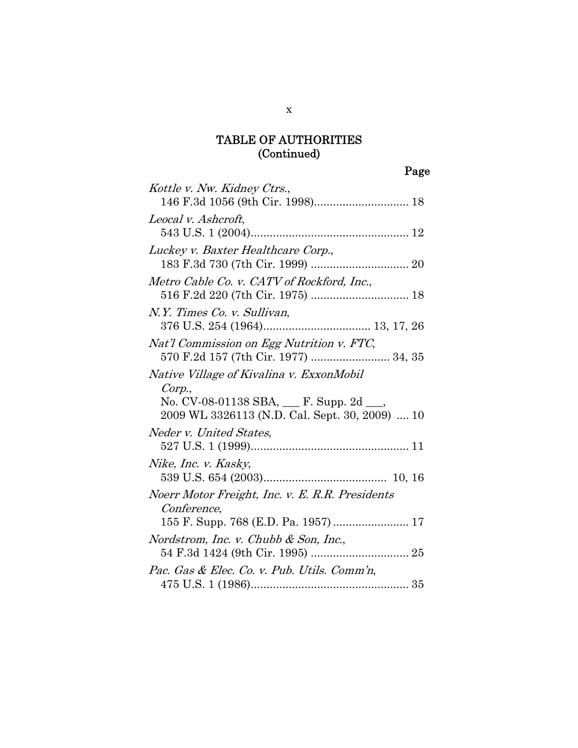# Page

| Kottle v. Nw. Kidney Ctrs.,                     |
|-------------------------------------------------|
|                                                 |
| Leocal v. Ashcroft,                             |
|                                                 |
| Luckey v. Baxter Healthcare Corp.,              |
|                                                 |
| Metro Cable Co. v. CATV of Rockford, Inc.,      |
|                                                 |
| N.Y. Times Co. v. Sullivan,                     |
|                                                 |
| Nat'l Commission on Egg Nutrition v. FTC,       |
| 570 F.2d 157 (7th Cir. 1977)  34, 35            |
| Native Village of Kivalina v. ExxonMobil        |
| Corp.,                                          |
| No. CV-08-01138 SBA, $\_\$ F. Supp. 2d $\_\_$   |
| 2009 WL 3326113 (N.D. Cal. Sept. 30, 2009)  10  |
| Neder v. United States,                         |
|                                                 |
| Nike, Inc. v. Kasky,                            |
|                                                 |
| Noerr Motor Freight, Inc. v. E. R.R. Presidents |
| <i>Conference,</i>                              |
| 155 F. Supp. 768 (E.D. Pa. 1957)  17            |
| Nordstrom, Inc. v. Chubb & Son, Inc.,           |
|                                                 |
| Pac. Gas & Elec. Co. v. Pub. Utils. Comm'n,     |
|                                                 |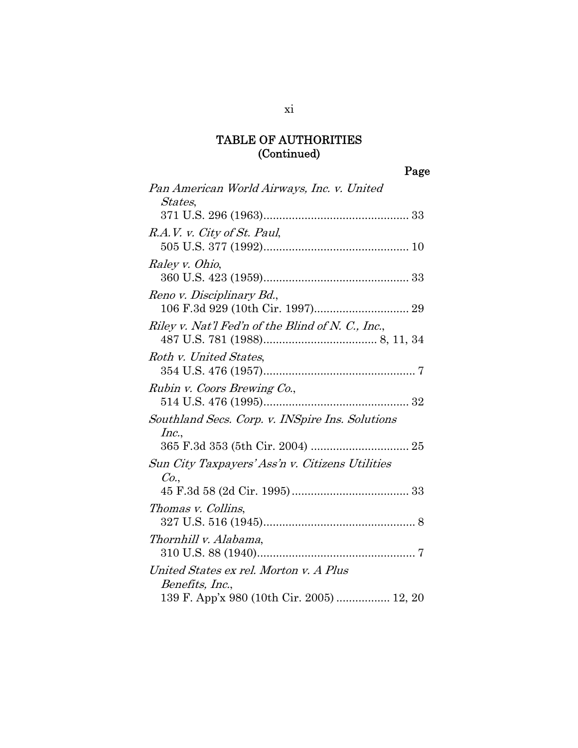Page

| Pan American World Airways, Inc. v. United<br><i>States,</i> |
|--------------------------------------------------------------|
|                                                              |
| R.A.V. v. City of St. Paul,                                  |
| Raley v. Ohio,                                               |
| Reno v. Disciplinary Bd.,                                    |
| Riley v. Nat'l Fed'n of the Blind of N. C., Inc.,            |
| Roth v. United States.                                       |
| Rubin v. Coors Brewing Co.,                                  |
| Southland Secs. Corp. v. INSpire Ins. Solutions<br>Inc.,     |
| Sun City Taxpayers' Ass'n v. Citizens Utilities<br>Co.       |
|                                                              |
| Thomas v. Collins,                                           |
| Thornhill v. Alabama,                                        |
| United States ex rel. Morton v. A Plus<br>Benefits, Inc.,    |
| 139 F. App'x 980 (10th Cir. 2005)  12, 20                    |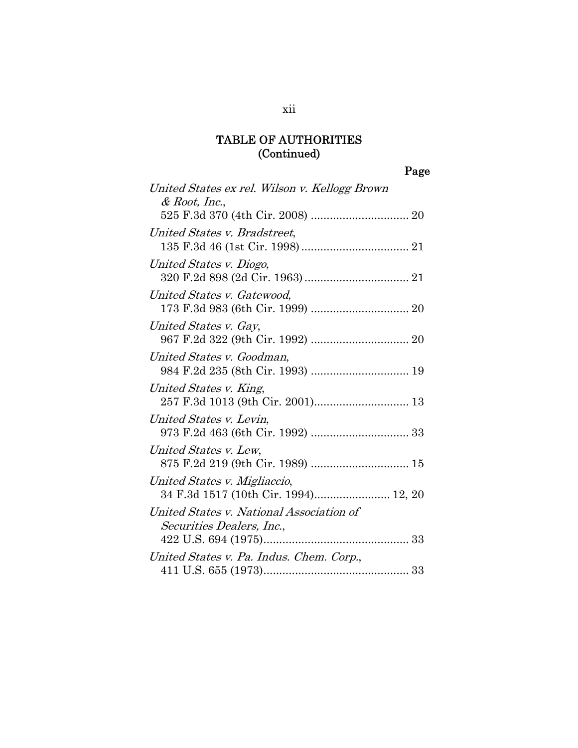Page

| United States ex rel. Wilson v. Kellogg Brown<br>$&$ Root, Inc.,      |
|-----------------------------------------------------------------------|
|                                                                       |
| United States v. Bradstreet,                                          |
| United States v. Diogo,                                               |
| United States v. Gatewood,                                            |
| United States v. Gay,                                                 |
| United States v. Goodman,                                             |
| United States v. King,<br>257 F.3d 1013 (9th Cir. 2001) 13            |
| United States v. Levin,                                               |
| United States v. Lew,<br>875 F.2d 219 (9th Cir. 1989)  15             |
| United States v. Migliaccio,<br>34 F.3d 1517 (10th Cir. 1994) 12, 20  |
| United States v. National Association of<br>Securities Dealers, Inc., |
|                                                                       |
| United States v. Pa. Indus. Chem. Corp.,                              |

xii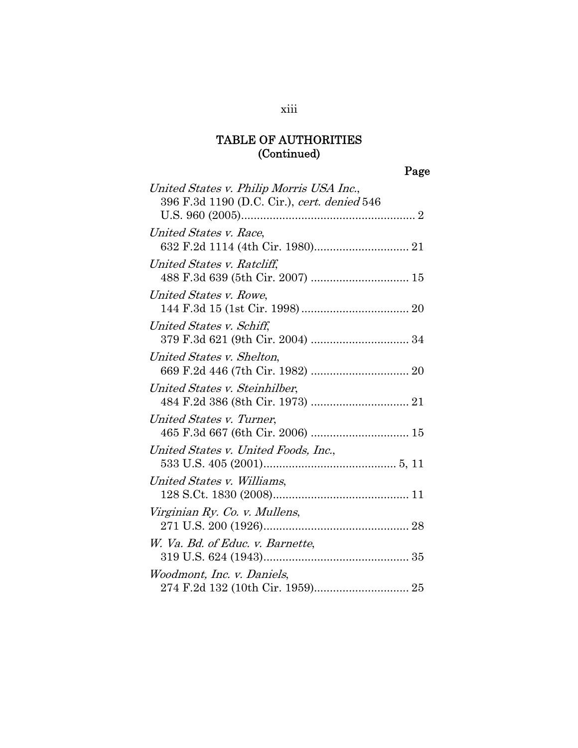| United States v. Philip Morris USA Inc.,    |
|---------------------------------------------|
| 396 F.3d 1190 (D.C. Cir.), cert. denied 546 |
|                                             |
| United States v. Race,                      |
|                                             |
| United States v. Ratcliff,                  |
|                                             |
| United States v. Rowe,                      |
|                                             |
| United States v. Schiff,                    |
|                                             |
| United States v. Shelton,                   |
|                                             |
| United States v. Steinhilber,               |
|                                             |
| United States v. Turner,                    |
|                                             |
| United States v. United Foods, Inc.,        |
|                                             |
| United States v. Williams,                  |
|                                             |
| Virginian Ry. Co. v. Mullens,               |
|                                             |
| W. Va. Bd. of Educ. v. Barnette,            |
|                                             |
| Woodmont, Inc. v. Daniels,                  |
|                                             |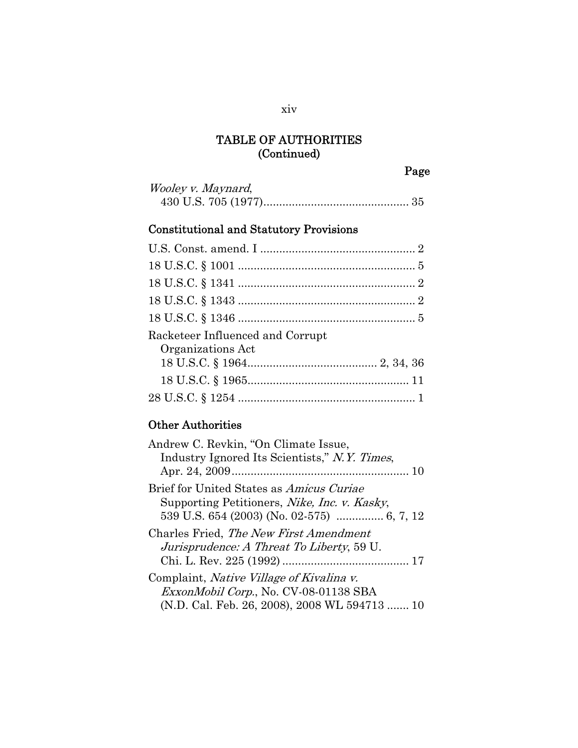Page

| <i>Wooley v. Maynard,</i> |  |
|---------------------------|--|
|                           |  |

# Constitutional and Statutory Provisions

| Racketeer Influenced and Corrupt<br>Organizations Act |
|-------------------------------------------------------|
|                                                       |
|                                                       |
|                                                       |

# Other Authorities

| Andrew C. Revkin, "On Climate Issue,<br>Industry Ignored Its Scientists," N.Y. Times,                                                     |
|-------------------------------------------------------------------------------------------------------------------------------------------|
| Brief for United States as Amicus Curiae<br>Supporting Petitioners, <i>Nike, Inc. v. Kasky</i> ,                                          |
| Charles Fried, The New First Amendment<br><i>Jurisprudence: A Threat To Liberty, 59 U.</i>                                                |
| Complaint, <i>Native Village of Kivalina v.</i><br>ExxonMobil Corp., No. CV-08-01138 SBA<br>(N.D. Cal. Feb. 26, 2008), 2008 WL 594713  10 |

xiv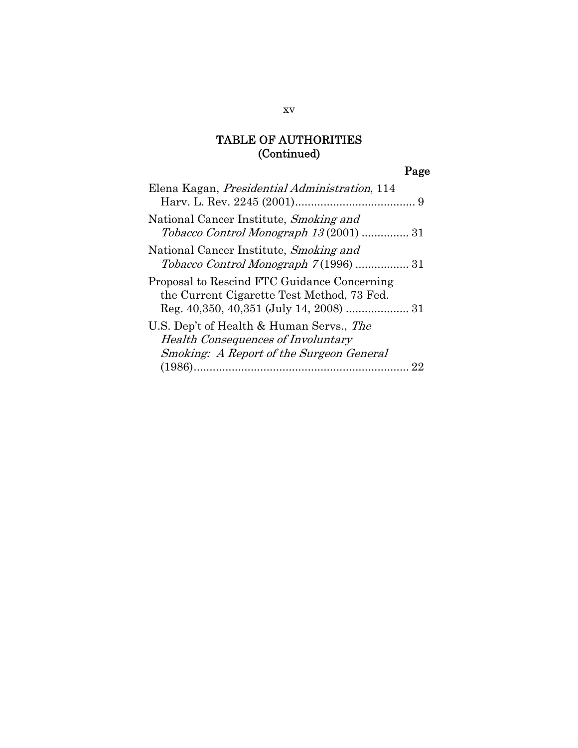# Page

| Elena Kagan, <i>Presidential Administration</i> , 114                                                                             |  |
|-----------------------------------------------------------------------------------------------------------------------------------|--|
| National Cancer Institute, Smoking and<br>Tobacco Control Monograph 13(2001)  31                                                  |  |
| National Cancer Institute, Smoking and                                                                                            |  |
| Proposal to Rescind FTC Guidance Concerning<br>the Current Cigarette Test Method, 73 Fed.                                         |  |
| U.S. Dep't of Health & Human Servs., The<br><b>Health Consequences of Involuntary</b><br>Smoking: A Report of the Surgeon General |  |
|                                                                                                                                   |  |

xv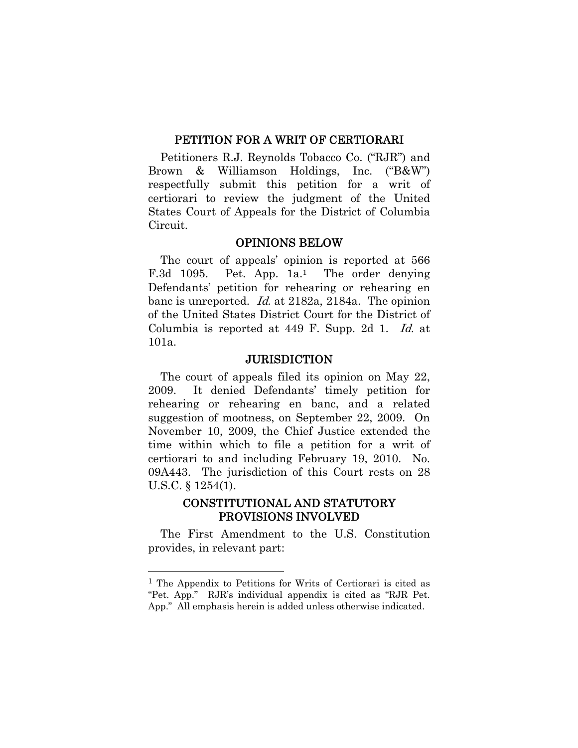#### PETITION FOR A WRIT OF CERTIORARI

Petitioners R.J. Reynolds Tobacco Co. ("RJR") and Brown & Williamson Holdings, Inc. ("B&W") respectfully submit this petition for a writ of certiorari to review the judgment of the United States Court of Appeals for the District of Columbia Circuit.

#### OPINIONS BELOW

The court of appeals' opinion is reported at 566 F.3d 1095. Pet. App. 1a.<sup>1</sup> The order denying Defendants' petition for rehearing or rehearing en banc is unreported. Id. at 2182a, 2184a. The opinion of the United States District Court for the District of Columbia is reported at 449 F. Supp. 2d 1. Id. at 101a.

#### **JURISDICTION**

The court of appeals filed its opinion on May 22, 2009. It denied Defendants' timely petition for rehearing or rehearing en banc, and a related suggestion of mootness, on September 22, 2009. On November 10, 2009, the Chief Justice extended the time within which to file a petition for a writ of certiorari to and including February 19, 2010. No. 09A443. The jurisdiction of this Court rests on 28 U.S.C. § 1254(1).

#### CONSTITUTIONAL AND STATUTORY PROVISIONS INVOLVED

The First Amendment to the U.S. Constitution provides, in relevant part:

1

<sup>1</sup> The Appendix to Petitions for Writs of Certiorari is cited as "Pet. App." RJR's individual appendix is cited as "RJR Pet. App." All emphasis herein is added unless otherwise indicated.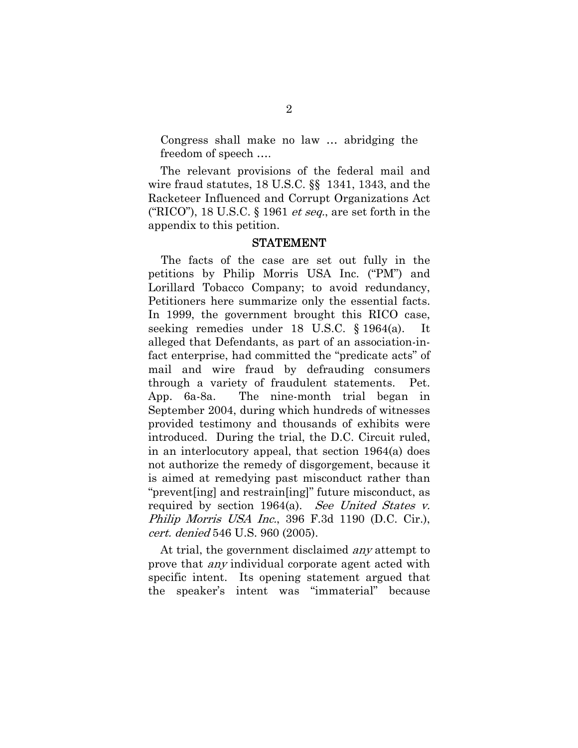Congress shall make no law … abridging the freedom of speech ….

The relevant provisions of the federal mail and wire fraud statutes, 18 U.S.C. §§ 1341, 1343, and the Racketeer Influenced and Corrupt Organizations Act ("RICO"), 18 U.S.C.  $\S$  1961 *et seq.*, are set forth in the appendix to this petition.

#### STATEMENT

The facts of the case are set out fully in the petitions by Philip Morris USA Inc. ("PM") and Lorillard Tobacco Company; to avoid redundancy, Petitioners here summarize only the essential facts. In 1999, the government brought this RICO case, seeking remedies under 18 U.S.C. § 1964(a). It alleged that Defendants, as part of an association-infact enterprise, had committed the "predicate acts" of mail and wire fraud by defrauding consumers through a variety of fraudulent statements. Pet. App. 6a-8a. The nine-month trial began in September 2004, during which hundreds of witnesses provided testimony and thousands of exhibits were introduced. During the trial, the D.C. Circuit ruled, in an interlocutory appeal, that section 1964(a) does not authorize the remedy of disgorgement, because it is aimed at remedying past misconduct rather than "prevent[ing] and restrain[ing]" future misconduct, as required by section 1964(a). See United States v. Philip Morris USA Inc., 396 F.3d 1190 (D.C. Cir.), cert. denied 546 U.S. 960 (2005).

At trial, the government disclaimed *any* attempt to prove that *any* individual corporate agent acted with specific intent. Its opening statement argued that the speaker's intent was "immaterial" because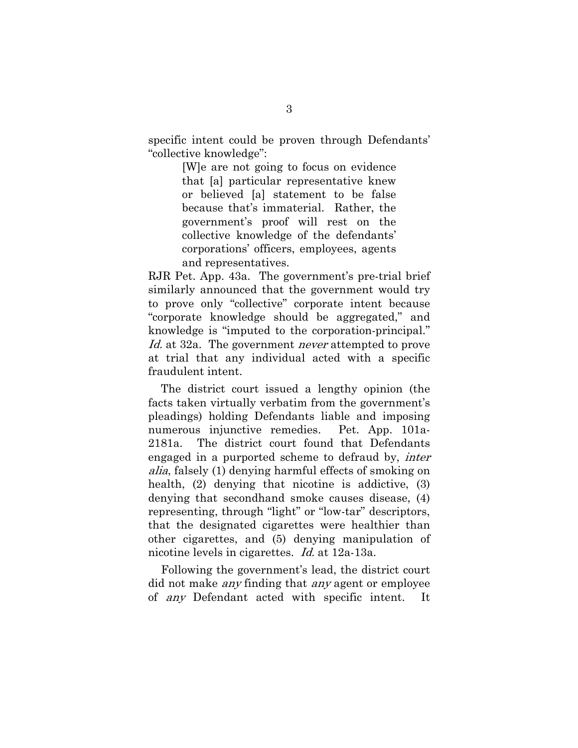specific intent could be proven through Defendants' "collective knowledge":

> [W]e are not going to focus on evidence that [a] particular representative knew or believed [a] statement to be false because that's immaterial. Rather, the government's proof will rest on the collective knowledge of the defendants' corporations' officers, employees, agents and representatives.

RJR Pet. App. 43a. The government's pre-trial brief similarly announced that the government would try to prove only "collective" corporate intent because "corporate knowledge should be aggregated," and knowledge is "imputed to the corporation-principal." Id. at 32a. The government *never* attempted to prove at trial that any individual acted with a specific fraudulent intent.

The district court issued a lengthy opinion (the facts taken virtually verbatim from the government's pleadings) holding Defendants liable and imposing numerous injunctive remedies. Pet. App. 101a-2181a. The district court found that Defendants engaged in a purported scheme to defraud by, inter alia, falsely (1) denying harmful effects of smoking on health, (2) denying that nicotine is addictive, (3) denying that secondhand smoke causes disease, (4) representing, through "light" or "low-tar" descriptors, that the designated cigarettes were healthier than other cigarettes, and (5) denying manipulation of nicotine levels in cigarettes. Id. at 12a-13a.

Following the government's lead, the district court did not make *any* finding that *any* agent or employee of any Defendant acted with specific intent. It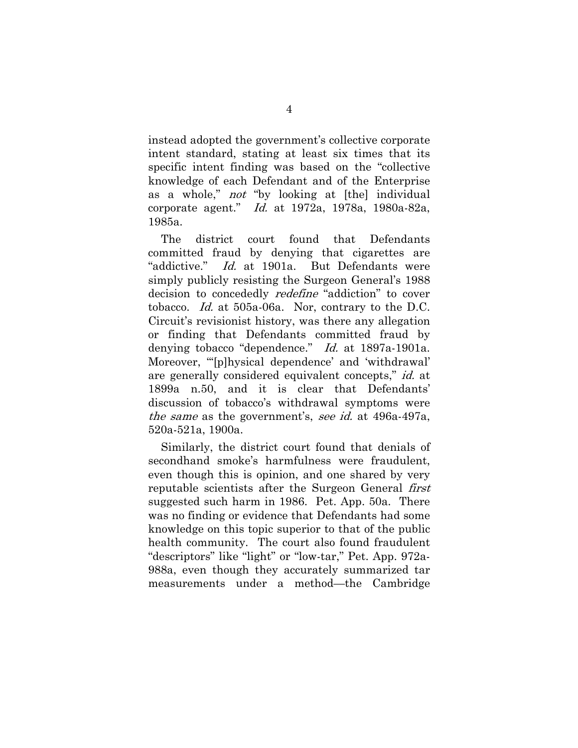instead adopted the government's collective corporate intent standard, stating at least six times that its specific intent finding was based on the "collective knowledge of each Defendant and of the Enterprise as a whole," not "by looking at [the] individual corporate agent." Id. at 1972a, 1978a, 1980a-82a, 1985a.

The district court found that Defendants committed fraud by denying that cigarettes are "addictive." Id. at 1901a. But Defendants were simply publicly resisting the Surgeon General's 1988 decision to concededly *redefine* "addiction" to cover tobacco. Id. at 505a-06a. Nor, contrary to the D.C. Circuit's revisionist history, was there any allegation or finding that Defendants committed fraud by denying tobacco "dependence." Id. at 1897a-1901a. Moreover, "'[p]hysical dependence' and 'withdrawal' are generally considered equivalent concepts," id. at 1899a n.50, and it is clear that Defendants' discussion of tobacco's withdrawal symptoms were the same as the government's, see id. at 496a-497a, 520a-521a, 1900a.

Similarly, the district court found that denials of secondhand smoke's harmfulness were fraudulent, even though this is opinion, and one shared by very reputable scientists after the Surgeon General *first* suggested such harm in 1986. Pet. App. 50a. There was no finding or evidence that Defendants had some knowledge on this topic superior to that of the public health community. The court also found fraudulent "descriptors" like "light" or "low-tar," Pet. App. 972a-988a, even though they accurately summarized tar measurements under a method—the Cambridge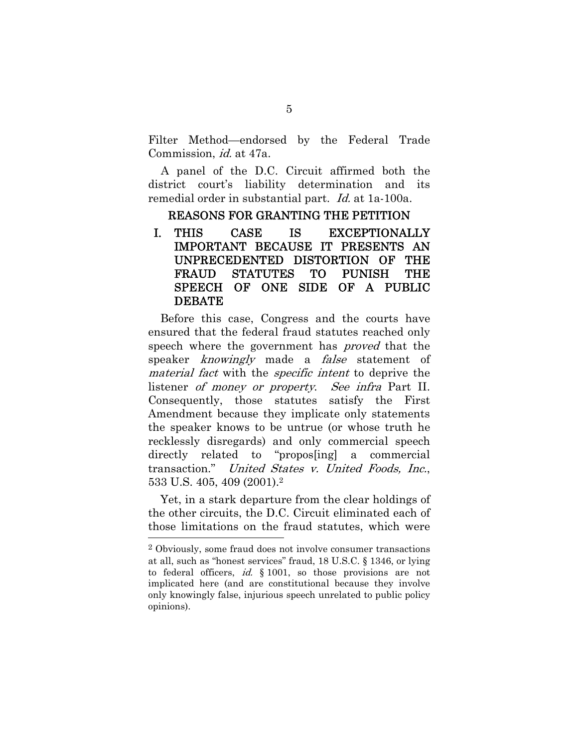Filter Method—endorsed by the Federal Trade Commission, id. at 47a.

A panel of the D.C. Circuit affirmed both the district court's liability determination and its remedial order in substantial part. *Id.* at 1a-100a.

#### REASONS FOR GRANTING THE PETITION

I. THIS CASE IS EXCEPTIONALLY IMPORTANT BECAUSE IT PRESENTS AN UNPRECEDENTED DISTORTION OF THE FRAUD STATUTES TO PUNISH THE SPEECH OF ONE SIDE OF A PUBLIC DEBATE

Before this case, Congress and the courts have ensured that the federal fraud statutes reached only speech where the government has *proved* that the speaker *knowingly* made a *false* statement of material fact with the specific intent to deprive the listener *of money or property. See infra* Part II. Consequently, those statutes satisfy the First Amendment because they implicate only statements the speaker knows to be untrue (or whose truth he recklessly disregards) and only commercial speech directly related to "propos[ing] a commercial transaction." United States v. United Foods, Inc., 533 U.S. 405, 409 (2001).2

Yet, in a stark departure from the clear holdings of the other circuits, the D.C. Circuit eliminated each of those limitations on the fraud statutes, which were 1

<sup>2</sup> Obviously, some fraud does not involve consumer transactions at all, such as "honest services" fraud, 18 U.S.C. § 1346, or lying to federal officers, *id.* § 1001, so those provisions are not implicated here (and are constitutional because they involve only knowingly false, injurious speech unrelated to public policy opinions).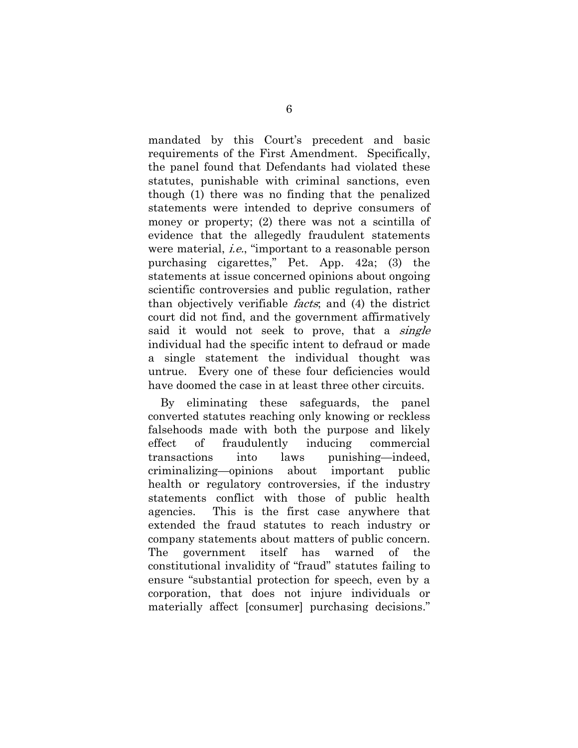mandated by this Court's precedent and basic requirements of the First Amendment. Specifically, the panel found that Defendants had violated these statutes, punishable with criminal sanctions, even though (1) there was no finding that the penalized statements were intended to deprive consumers of money or property; (2) there was not a scintilla of evidence that the allegedly fraudulent statements were material, *i.e.*, "important to a reasonable person purchasing cigarettes," Pet. App. 42a; (3) the statements at issue concerned opinions about ongoing scientific controversies and public regulation, rather than objectively verifiable facts; and (4) the district court did not find, and the government affirmatively said it would not seek to prove, that a *single* individual had the specific intent to defraud or made a single statement the individual thought was untrue. Every one of these four deficiencies would have doomed the case in at least three other circuits.

By eliminating these safeguards, the panel converted statutes reaching only knowing or reckless falsehoods made with both the purpose and likely effect of fraudulently inducing commercial transactions into laws punishing—indeed, criminalizing—opinions about important public health or regulatory controversies, if the industry statements conflict with those of public health agencies. This is the first case anywhere that extended the fraud statutes to reach industry or company statements about matters of public concern. The government itself has warned of the constitutional invalidity of "fraud" statutes failing to ensure "substantial protection for speech, even by a corporation, that does not injure individuals or materially affect [consumer] purchasing decisions."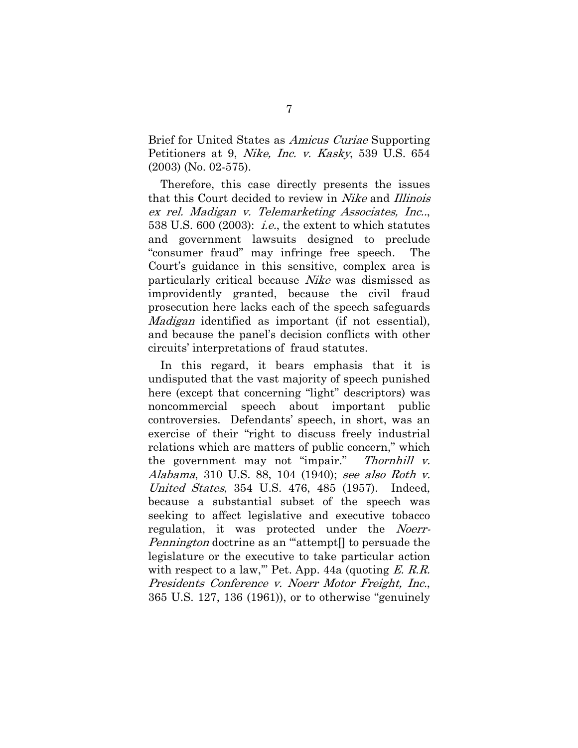Brief for United States as Amicus Curiae Supporting Petitioners at 9, Nike, Inc. v. Kasky, 539 U.S. 654 (2003) (No. 02-575).

Therefore, this case directly presents the issues that this Court decided to review in Nike and Illinois ex rel. Madigan v. Telemarketing Associates, Inc.., 538 U.S.  $600$  (2003): *i.e.*, the extent to which statutes and government lawsuits designed to preclude "consumer fraud" may infringe free speech. The Court's guidance in this sensitive, complex area is particularly critical because Nike was dismissed as improvidently granted, because the civil fraud prosecution here lacks each of the speech safeguards Madigan identified as important (if not essential), and because the panel's decision conflicts with other circuits' interpretations of fraud statutes.

In this regard, it bears emphasis that it is undisputed that the vast majority of speech punished here (except that concerning "light" descriptors) was noncommercial speech about important public controversies. Defendants' speech, in short, was an exercise of their "right to discuss freely industrial relations which are matters of public concern," which the government may not "impair." Thornhill v. Alabama, 310 U.S. 88, 104 (1940); see also Roth v. United States, 354 U.S. 476, 485 (1957). Indeed, because a substantial subset of the speech was seeking to affect legislative and executive tobacco regulation, it was protected under the Noerr-Pennington doctrine as an ""attempt<sup>[]</sup> to persuade the legislature or the executive to take particular action with respect to a law," Pet. App. 44a (quoting  $E.$  R.R. Presidents Conference v. Noerr Motor Freight, Inc., 365 U.S. 127, 136 (1961)), or to otherwise "genuinely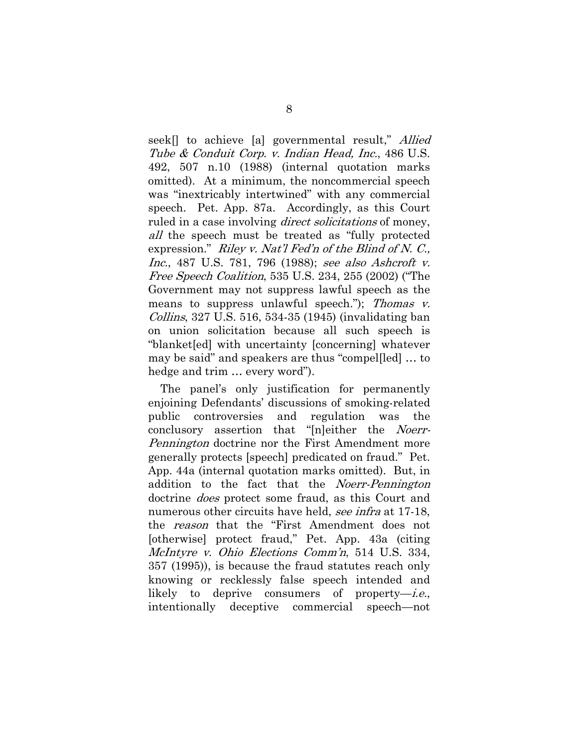seek<sup>[]</sup> to achieve [a] governmental result," *Allied* Tube & Conduit Corp. v. Indian Head, Inc., 486 U.S. 492, 507 n.10 (1988) (internal quotation marks omitted). At a minimum, the noncommercial speech was "inextricably intertwined" with any commercial speech. Pet. App. 87a. Accordingly, as this Court ruled in a case involving *direct solicitations* of money, all the speech must be treated as "fully protected" expression." Riley v. Nat'l Fed'n of the Blind of N. C., Inc., 487 U.S. 781, 796 (1988); see also Ashcroft v. Free Speech Coalition, 535 U.S. 234, 255 (2002) ("The Government may not suppress lawful speech as the means to suppress unlawful speech."); Thomas v. Collins, 327 U.S. 516, 534-35 (1945) (invalidating ban on union solicitation because all such speech is "blanket[ed] with uncertainty [concerning] whatever may be said" and speakers are thus "compel[led] … to hedge and trim … every word").

The panel's only justification for permanently enjoining Defendants' discussions of smoking-related public controversies and regulation was the conclusory assertion that "[n]either the Noerr-Pennington doctrine nor the First Amendment more generally protects [speech] predicated on fraud." Pet. App. 44a (internal quotation marks omitted). But, in addition to the fact that the Noerr-Pennington doctrine *does* protect some fraud, as this Court and numerous other circuits have held, see infra at 17-18, the reason that the "First Amendment does not [otherwise] protect fraud," Pet. App. 43a (citing McIntyre v. Ohio Elections Comm'n, 514 U.S. 334, 357 (1995)), is because the fraud statutes reach only knowing or recklessly false speech intended and likely to deprive consumers of property—i.e., intentionally deceptive commercial speech—not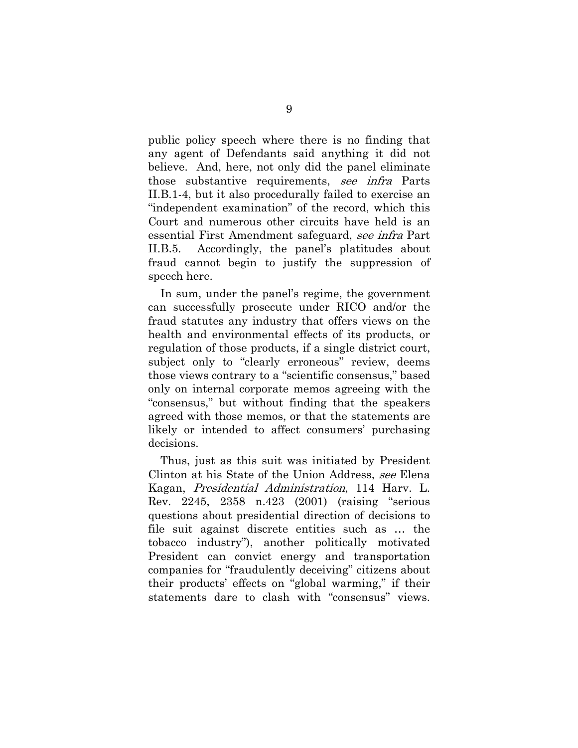public policy speech where there is no finding that any agent of Defendants said anything it did not believe. And, here, not only did the panel eliminate those substantive requirements, see infra Parts II.B.1-4, but it also procedurally failed to exercise an "independent examination" of the record, which this Court and numerous other circuits have held is an essential First Amendment safeguard, see infra Part II.B.5. Accordingly, the panel's platitudes about fraud cannot begin to justify the suppression of speech here.

In sum, under the panel's regime, the government can successfully prosecute under RICO and/or the fraud statutes any industry that offers views on the health and environmental effects of its products, or regulation of those products, if a single district court, subject only to "clearly erroneous" review, deems those views contrary to a "scientific consensus," based only on internal corporate memos agreeing with the "consensus," but without finding that the speakers agreed with those memos, or that the statements are likely or intended to affect consumers' purchasing decisions.

Thus, just as this suit was initiated by President Clinton at his State of the Union Address, see Elena Kagan, Presidential Administration, 114 Harv. L. Rev. 2245, 2358 n.423 (2001) (raising "serious questions about presidential direction of decisions to file suit against discrete entities such as … the tobacco industry"), another politically motivated President can convict energy and transportation companies for "fraudulently deceiving" citizens about their products' effects on "global warming," if their statements dare to clash with "consensus" views.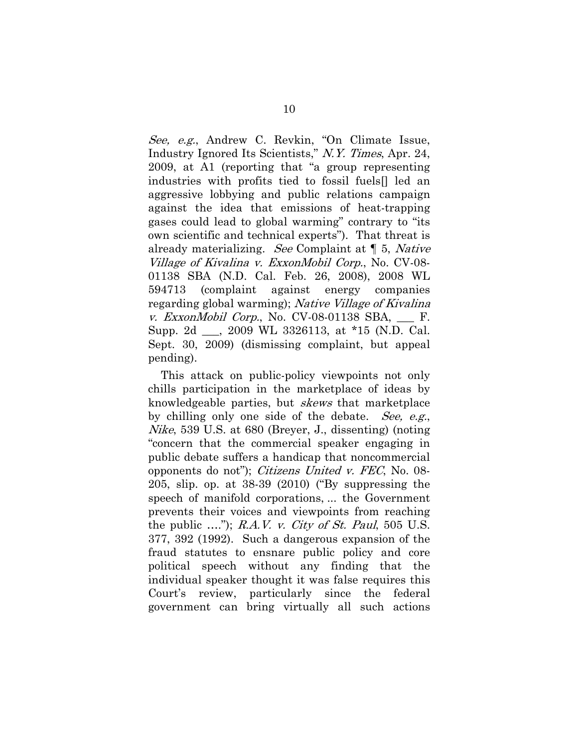See, e.g., Andrew C. Revkin, "On Climate Issue, Industry Ignored Its Scientists," N.Y. Times, Apr. 24, 2009, at A1 (reporting that "a group representing industries with profits tied to fossil fuels[] led an aggressive lobbying and public relations campaign against the idea that emissions of heat-trapping gases could lead to global warming" contrary to "its own scientific and technical experts"). That threat is already materializing. See Complaint at ¶ 5, Native Village of Kivalina v. ExxonMobil Corp., No. CV-08- 01138 SBA (N.D. Cal. Feb. 26, 2008), 2008 WL 594713 (complaint against energy companies regarding global warming); Native Village of Kivalina v. ExxonMobil Corp., No.  $CV-08-01138$  SBA, F. Supp. 2d \_\_\_, 2009 WL 3326113, at \*15 (N.D. Cal. Sept. 30, 2009) (dismissing complaint, but appeal pending).

This attack on public-policy viewpoints not only chills participation in the marketplace of ideas by knowledgeable parties, but skews that marketplace by chilling only one side of the debate. See, e.g., Nike, 539 U.S. at 680 (Breyer, J., dissenting) (noting "concern that the commercial speaker engaging in public debate suffers a handicap that noncommercial opponents do not"); Citizens United v. FEC, No. 08- 205, slip. op. at 38-39 (2010) ("By suppressing the speech of manifold corporations, ... the Government prevents their voices and viewpoints from reaching the public  $\ldots$ "); R.A.V. v. City of St. Paul, 505 U.S. 377, 392 (1992). Such a dangerous expansion of the fraud statutes to ensnare public policy and core political speech without any finding that the individual speaker thought it was false requires this Court's review, particularly since the federal government can bring virtually all such actions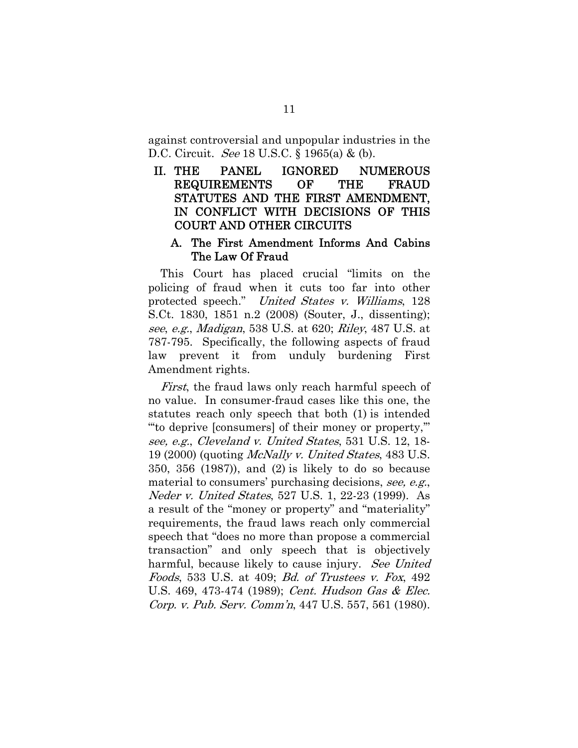against controversial and unpopular industries in the D.C. Circuit. *See* 18 U.S.C. § 1965(a) & (b).

### II. THE PANEL IGNORED NUMEROUS REQUIREMENTS OF THE FRAUD STATUTES AND THE FIRST AMENDMENT, IN CONFLICT WITH DECISIONS OF THIS COURT AND OTHER CIRCUITS

#### A. The First Amendment Informs And Cabins The Law Of Fraud

This Court has placed crucial "limits on the policing of fraud when it cuts too far into other protected speech." United States v. Williams, 128 S.Ct. 1830, 1851 n.2 (2008) (Souter, J., dissenting); see, e.g., Madigan, 538 U.S. at 620; Riley, 487 U.S. at 787-795. Specifically, the following aspects of fraud law prevent it from unduly burdening First Amendment rights.

First, the fraud laws only reach harmful speech of no value. In consumer-fraud cases like this one, the statutes reach only speech that both (1) is intended "'to deprive [consumers] of their money or property,'" see, e.g., Cleveland v. United States, 531 U.S. 12, 18- 19 (2000) (quoting McNally v. United States, 483 U.S. 350, 356 (1987)), and (2) is likely to do so because material to consumers' purchasing decisions, see, e.g., Neder v. United States, 527 U.S. 1, 22-23 (1999). As a result of the "money or property" and "materiality" requirements, the fraud laws reach only commercial speech that "does no more than propose a commercial transaction" and only speech that is objectively harmful, because likely to cause injury. See United Foods, 533 U.S. at 409; Bd. of Trustees v. Fox, 492 U.S. 469, 473-474 (1989); Cent. Hudson Gas & Elec. Corp. v. Pub. Serv. Comm'n, 447 U.S. 557, 561 (1980).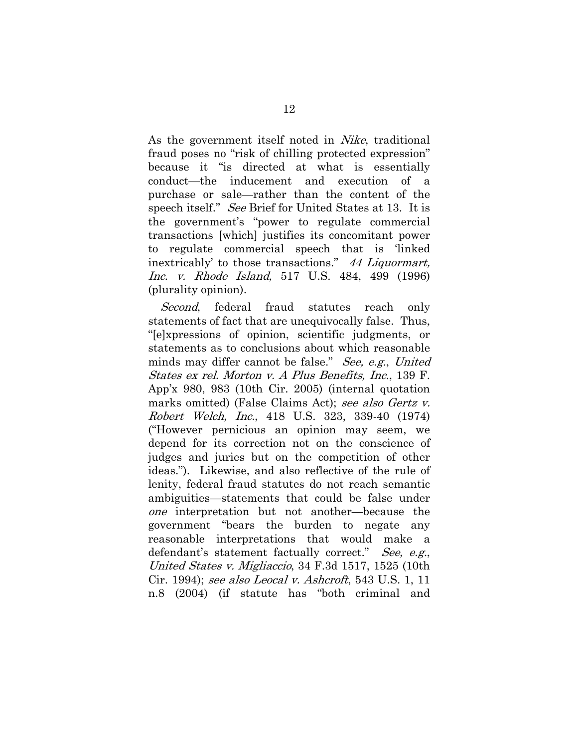As the government itself noted in *Nike*, traditional fraud poses no "risk of chilling protected expression" because it "is directed at what is essentially conduct—the inducement and execution of a purchase or sale—rather than the content of the speech itself." See Brief for United States at 13. It is the government's "power to regulate commercial transactions [which] justifies its concomitant power to regulate commercial speech that is 'linked inextricably' to those transactions." 44 Liquormart, Inc. v. Rhode Island, 517 U.S. 484, 499 (1996) (plurality opinion).

Second, federal fraud statutes reach only statements of fact that are unequivocally false. Thus, "[e]xpressions of opinion, scientific judgments, or statements as to conclusions about which reasonable minds may differ cannot be false." See, e.g., United States ex rel. Morton v. A Plus Benefits, Inc., 139 F. App'x 980, 983 (10th Cir. 2005) (internal quotation marks omitted) (False Claims Act); see also Gertz v. Robert Welch, Inc., 418 U.S. 323, 339-40 (1974) ("However pernicious an opinion may seem, we depend for its correction not on the conscience of judges and juries but on the competition of other ideas."). Likewise, and also reflective of the rule of lenity, federal fraud statutes do not reach semantic ambiguities—statements that could be false under one interpretation but not another—because the government "bears the burden to negate any reasonable interpretations that would make a defendant's statement factually correct." See, e.g., United States v. Migliaccio, 34 F.3d 1517, 1525 (10th Cir. 1994); see also Leocal v. Ashcroft, 543 U.S. 1, 11 n.8 (2004) (if statute has "both criminal and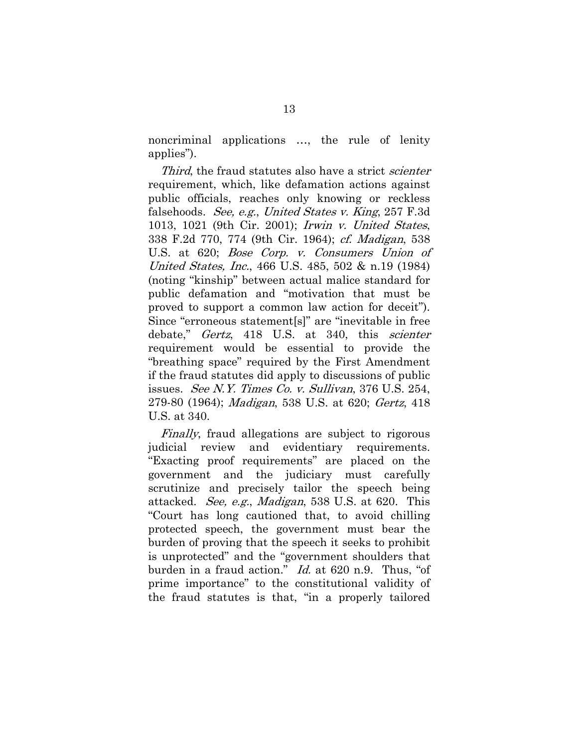noncriminal applications …, the rule of lenity applies").

Third, the fraud statutes also have a strict *scienter* requirement, which, like defamation actions against public officials, reaches only knowing or reckless falsehoods. See, e.g., United States v. King, 257 F.3d 1013, 1021 (9th Cir. 2001); Irwin v. United States, 338 F.2d 770, 774 (9th Cir. 1964); cf. Madigan, 538 U.S. at 620; Bose Corp. v. Consumers Union of United States, Inc., 466 U.S. 485, 502 & n.19 (1984) (noting "kinship" between actual malice standard for public defamation and "motivation that must be proved to support a common law action for deceit"). Since "erroneous statement[s]" are "inevitable in free debate," *Gertz*, 418 U.S. at 340, this *scienter* requirement would be essential to provide the "breathing space" required by the First Amendment if the fraud statutes did apply to discussions of public issues. See N.Y. Times Co. v. Sullivan, 376 U.S. 254, 279-80 (1964); Madigan, 538 U.S. at 620; Gertz, 418 U.S. at 340.

Finally, fraud allegations are subject to rigorous judicial review and evidentiary requirements. "Exacting proof requirements" are placed on the government and the judiciary must carefully scrutinize and precisely tailor the speech being attacked. See, e.g., Madigan, 538 U.S. at 620. This "Court has long cautioned that, to avoid chilling protected speech, the government must bear the burden of proving that the speech it seeks to prohibit is unprotected" and the "government shoulders that burden in a fraud action." *Id.* at 620 n.9. Thus, "of prime importance" to the constitutional validity of the fraud statutes is that, "in a properly tailored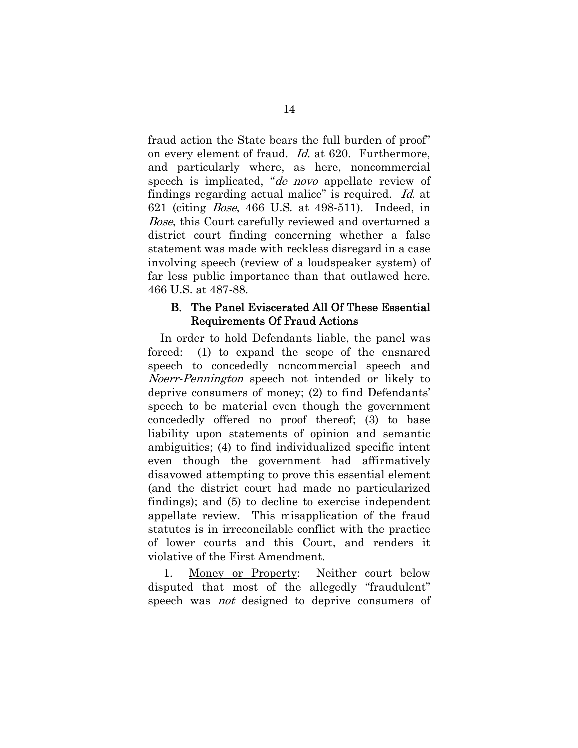fraud action the State bears the full burden of proof" on every element of fraud. Id. at 620. Furthermore, and particularly where, as here, noncommercial speech is implicated, "*de novo* appellate review of findings regarding actual malice" is required. Id. at 621 (citing Bose, 466 U.S. at 498-511). Indeed, in Bose, this Court carefully reviewed and overturned a district court finding concerning whether a false statement was made with reckless disregard in a case involving speech (review of a loudspeaker system) of far less public importance than that outlawed here. 466 U.S. at 487-88.

#### B. The Panel Eviscerated All Of These Essential Requirements Of Fraud Actions

In order to hold Defendants liable, the panel was forced: (1) to expand the scope of the ensnared speech to concededly noncommercial speech and Noerr-Pennington speech not intended or likely to deprive consumers of money; (2) to find Defendants' speech to be material even though the government concededly offered no proof thereof; (3) to base liability upon statements of opinion and semantic ambiguities; (4) to find individualized specific intent even though the government had affirmatively disavowed attempting to prove this essential element (and the district court had made no particularized findings); and (5) to decline to exercise independent appellate review. This misapplication of the fraud statutes is in irreconcilable conflict with the practice of lower courts and this Court, and renders it violative of the First Amendment.

 1. Money or Property: Neither court below disputed that most of the allegedly "fraudulent" speech was *not* designed to deprive consumers of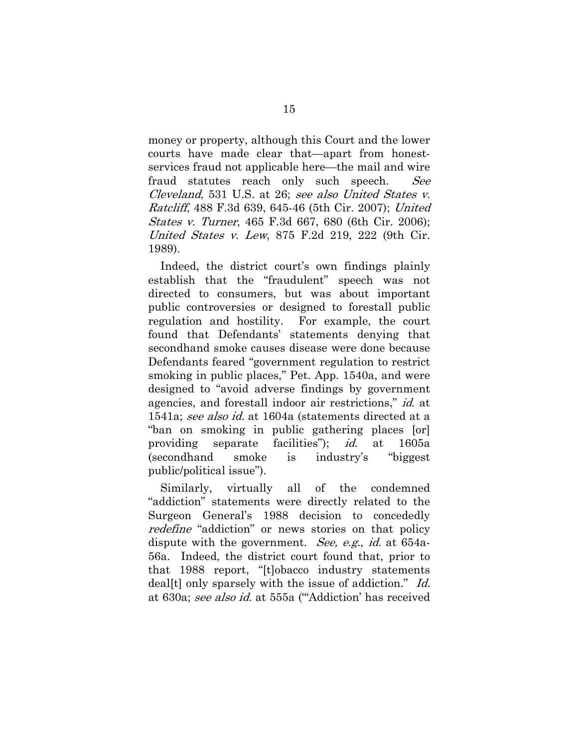money or property, although this Court and the lower courts have made clear that—apart from honestservices fraud not applicable here—the mail and wire fraud statutes reach only such speech. See Cleveland, 531 U.S. at 26; see also United States v. Ratcliff, 488 F.3d 639, 645-46 (5th Cir. 2007); United States v. Turner, 465 F.3d 667, 680 (6th Cir. 2006); United States v. Lew, 875 F.2d 219, 222 (9th Cir. 1989).

Indeed, the district court's own findings plainly establish that the "fraudulent" speech was not directed to consumers, but was about important public controversies or designed to forestall public regulation and hostility. For example, the court found that Defendants' statements denying that secondhand smoke causes disease were done because Defendants feared "government regulation to restrict smoking in public places," Pet. App. 1540a, and were designed to "avoid adverse findings by government agencies, and forestall indoor air restrictions," id. at 1541a; see also id. at 1604a (statements directed at a "ban on smoking in public gathering places [or] providing separate facilities"); id. at 1605a (secondhand smoke is industry's "biggest public/political issue").

Similarly, virtually all of the condemned "addiction" statements were directly related to the Surgeon General's 1988 decision to concededly redefine "addiction" or news stories on that policy dispute with the government. See, e.g., id. at 654a-56a. Indeed, the district court found that, prior to that 1988 report, "[t]obacco industry statements deal<sup>[t]</sup> only sparsely with the issue of addiction." Id. at 630a; see also id. at 555a ("'Addiction' has received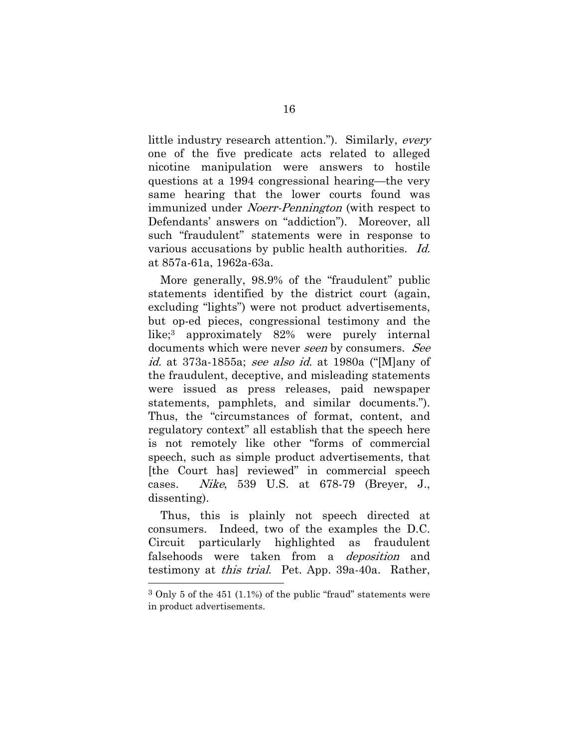little industry research attention."). Similarly, every one of the five predicate acts related to alleged nicotine manipulation were answers to hostile questions at a 1994 congressional hearing—the very same hearing that the lower courts found was immunized under *Noerr-Pennington* (with respect to Defendants' answers on "addiction"). Moreover, all such "fraudulent" statements were in response to various accusations by public health authorities. Id. at 857a-61a, 1962a-63a.

More generally, 98.9% of the "fraudulent" public statements identified by the district court (again, excluding "lights") were not product advertisements, but op-ed pieces, congressional testimony and the like;3 approximately 82% were purely internal documents which were never seen by consumers. See id. at 373a-1855a; see also id. at 1980a ("[M]any of the fraudulent, deceptive, and misleading statements were issued as press releases, paid newspaper statements, pamphlets, and similar documents."). Thus, the "circumstances of format, content, and regulatory context" all establish that the speech here is not remotely like other "forms of commercial speech, such as simple product advertisements, that [the Court has] reviewed" in commercial speech cases. Nike, 539 U.S. at 678-79 (Breyer, J., dissenting).

Thus, this is plainly not speech directed at consumers. Indeed, two of the examples the D.C. Circuit particularly highlighted as fraudulent falsehoods were taken from a *deposition* and testimony at this trial. Pet. App. 39a-40a. Rather,

1

 $3$  Only 5 of the 451 (1.1%) of the public "fraud" statements were in product advertisements.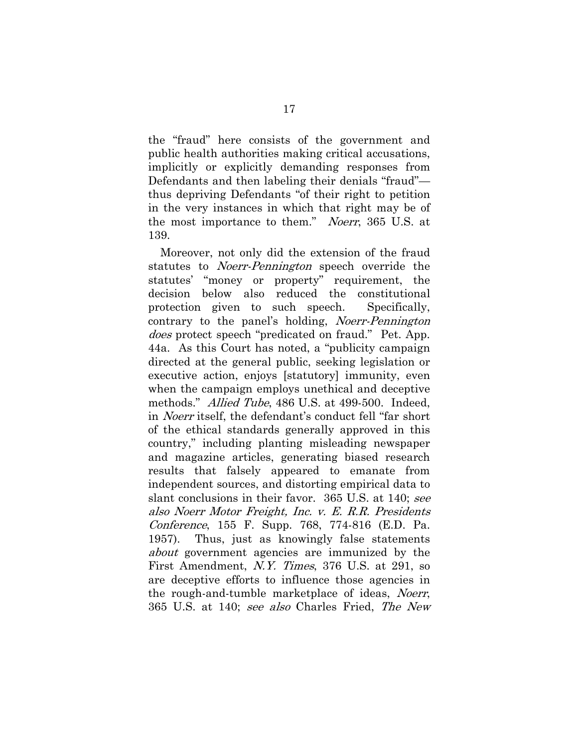the "fraud" here consists of the government and public health authorities making critical accusations, implicitly or explicitly demanding responses from Defendants and then labeling their denials "fraud" thus depriving Defendants "of their right to petition in the very instances in which that right may be of the most importance to them." Noerr, 365 U.S. at 139.

Moreover, not only did the extension of the fraud statutes to *Noerr-Pennington* speech override the statutes' "money or property" requirement, the decision below also reduced the constitutional protection given to such speech. Specifically, contrary to the panel's holding, Noerr-Pennington does protect speech "predicated on fraud." Pet. App. 44a. As this Court has noted, a "publicity campaign directed at the general public, seeking legislation or executive action, enjoys [statutory] immunity, even when the campaign employs unethical and deceptive methods." *Allied Tube*, 486 U.S. at 499-500. Indeed, in Noerr itself, the defendant's conduct fell "far short of the ethical standards generally approved in this country," including planting misleading newspaper and magazine articles, generating biased research results that falsely appeared to emanate from independent sources, and distorting empirical data to slant conclusions in their favor. 365 U.S. at 140; see also Noerr Motor Freight, Inc. v. E. R.R. Presidents Conference, 155 F. Supp. 768, 774-816 (E.D. Pa. 1957). Thus, just as knowingly false statements about government agencies are immunized by the First Amendment, N.Y. Times, 376 U.S. at 291, so are deceptive efforts to influence those agencies in the rough-and-tumble marketplace of ideas, *Noerr*, 365 U.S. at 140; see also Charles Fried, The New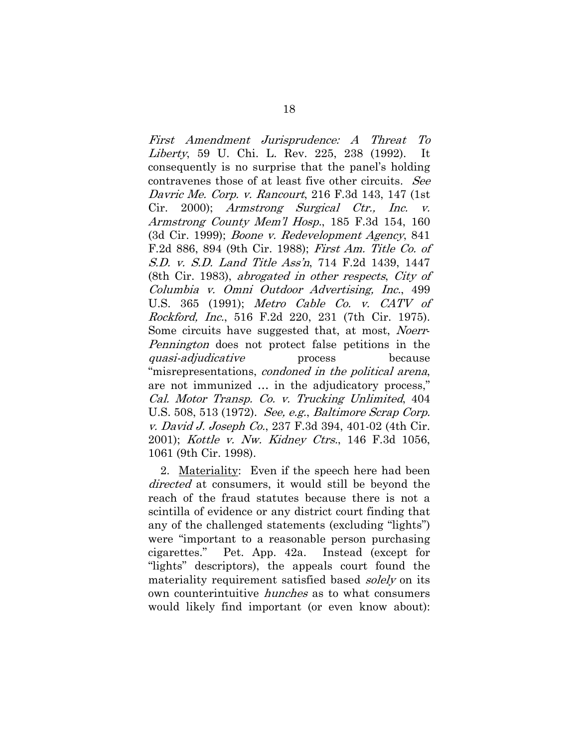First Amendment Jurisprudence: A Threat To Liberty, 59 U. Chi. L. Rev. 225, 238 (1992). It consequently is no surprise that the panel's holding contravenes those of at least five other circuits. See Davric Me. Corp. v. Rancourt, 216 F.3d 143, 147 (1st Cir. 2000); Armstrong Surgical Ctr., Inc. v. Armstrong County Mem'l Hosp., 185 F.3d 154, 160 (3d Cir. 1999); Boone v. Redevelopment Agency, 841 F.2d 886, 894 (9th Cir. 1988); First Am. Title Co. of S.D. v. S.D. Land Title Ass'n, 714 F.2d 1439, 1447 (8th Cir. 1983), abrogated in other respects, City of Columbia v. Omni Outdoor Advertising, Inc., 499 U.S. 365 (1991); Metro Cable Co. v. CATV of Rockford, Inc., 516 F.2d 220, 231 (7th Cir. 1975). Some circuits have suggested that, at most, *Noerr*-Pennington does not protect false petitions in the quasi-adjudicative process because "misrepresentations, condoned in the political arena, are not immunized … in the adjudicatory process," Cal. Motor Transp. Co. v. Trucking Unlimited, 404 U.S. 508, 513 (1972). See, e.g., Baltimore Scrap Corp. v. David J. Joseph Co., 237 F.3d 394, 401-02 (4th Cir. 2001); Kottle v. Nw. Kidney Ctrs., 146 F.3d 1056, 1061 (9th Cir. 1998).

2. Materiality: Even if the speech here had been directed at consumers, it would still be beyond the reach of the fraud statutes because there is not a scintilla of evidence or any district court finding that any of the challenged statements (excluding "lights") were "important to a reasonable person purchasing cigarettes." Pet. App. 42a. Instead (except for "lights" descriptors), the appeals court found the materiality requirement satisfied based *solely* on its own counterintuitive hunches as to what consumers would likely find important (or even know about):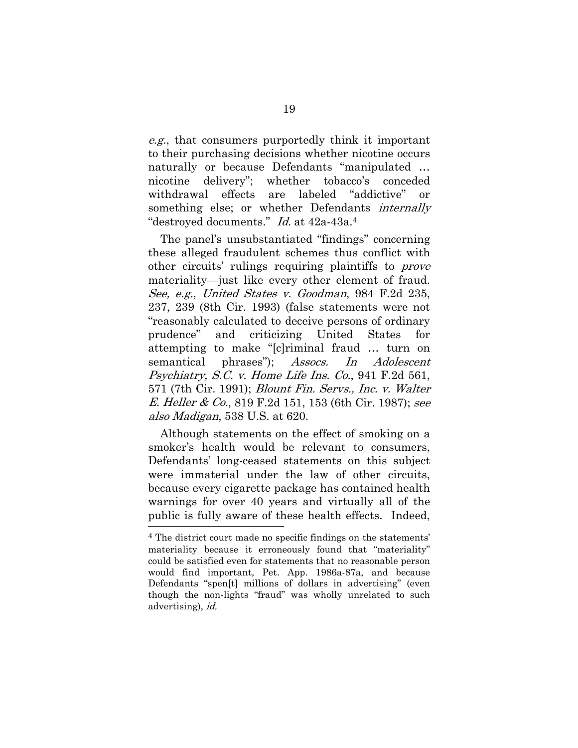e.g., that consumers purportedly think it important to their purchasing decisions whether nicotine occurs naturally or because Defendants "manipulated … nicotine delivery"; whether tobacco's conceded withdrawal effects are labeled "addictive" or something else; or whether Defendants *internally* "destroyed documents." Id. at 42a-43a.<sup>4</sup>

The panel's unsubstantiated "findings" concerning these alleged fraudulent schemes thus conflict with other circuits' rulings requiring plaintiffs to *prove* materiality—just like every other element of fraud. See, e.g., United States v. Goodman, 984 F.2d 235, 237, 239 (8th Cir. 1993) (false statements were not "reasonably calculated to deceive persons of ordinary prudence" and criticizing United States for attempting to make "[c]riminal fraud … turn on semantical phrases"); Assocs. In Adolescent Psychiatry, S.C. v. Home Life Ins. Co., 941 F.2d 561, 571 (7th Cir. 1991); Blount Fin. Servs., Inc. v. Walter E. Heller & Co., 819 F.2d 151, 153 (6th Cir. 1987); see also Madigan, 538 U.S. at 620.

Although statements on the effect of smoking on a smoker's health would be relevant to consumers, Defendants' long-ceased statements on this subject were immaterial under the law of other circuits, because every cigarette package has contained health warnings for over 40 years and virtually all of the public is fully aware of these health effects. Indeed,

<sup>4</sup> The district court made no specific findings on the statements' materiality because it erroneously found that "materiality" could be satisfied even for statements that no reasonable person would find important, Pet. App. 1986a-87a, and because Defendants "spen[t] millions of dollars in advertising" (even though the non-lights "fraud" was wholly unrelated to such advertising), id.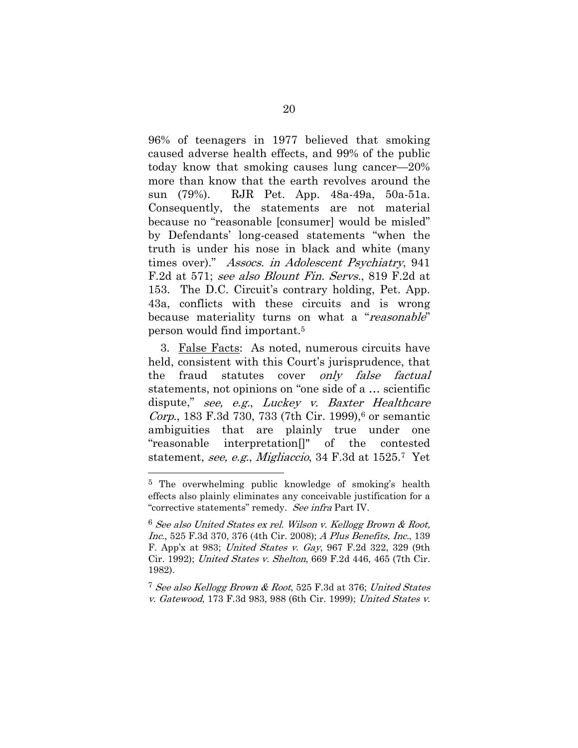96% of teenagers in 1977 believed that smoking caused adverse health effects, and 99% of the public today know that smoking causes lung cancer—20% more than know that the earth revolves around the sun (79%). RJR Pet. App. 48a-49a, 50a-51a. Consequently, the statements are not material because no "reasonable [consumer] would be misled" by Defendants' long-ceased statements "when the truth is under his nose in black and white (many times over)." Assocs. in Adolescent Psychiatry, 941 F.2d at 571; see also Blount Fin. Servs., 819 F.2d at 153. The D.C. Circuit's contrary holding, Pet. App. 43a, conflicts with these circuits and is wrong because materiality turns on what a "reasonable" person would find important.5

3. False Facts: As noted, numerous circuits have held, consistent with this Court's jurisprudence, that the fraud statutes cover *only false factual* statements, not opinions on "one side of a … scientific dispute," see, e.g., Luckey v. Baxter Healthcare *Corp.*, 183 F.3d 730, 733 (7th Cir. 1999),<sup>6</sup> or semantic ambiguities that are plainly true under one "reasonable interpretation[]" of the contested statement, see, e.g., Migliaccio, 34 F.3d at 1525.7 Yet

1

<sup>7</sup> See also Kellogg Brown & Root, 525 F.3d at 376; United States v. Gatewood, 173 F.3d 983, 988 (6th Cir. 1999); United States v.

<sup>5</sup> The overwhelming public knowledge of smoking's health effects also plainly eliminates any conceivable justification for a "corrective statements" remedy. See infra Part IV.

<sup>6</sup> See also United States ex rel. Wilson v. Kellogg Brown & Root, Inc., 525 F.3d 370, 376 (4th Cir. 2008); A Plus Benefits, Inc., 139 F. App'x at 983; United States v. Gay, 967 F.2d 322, 329 (9th Cir. 1992); United States v. Shelton, 669 F.2d 446, 465 (7th Cir. 1982).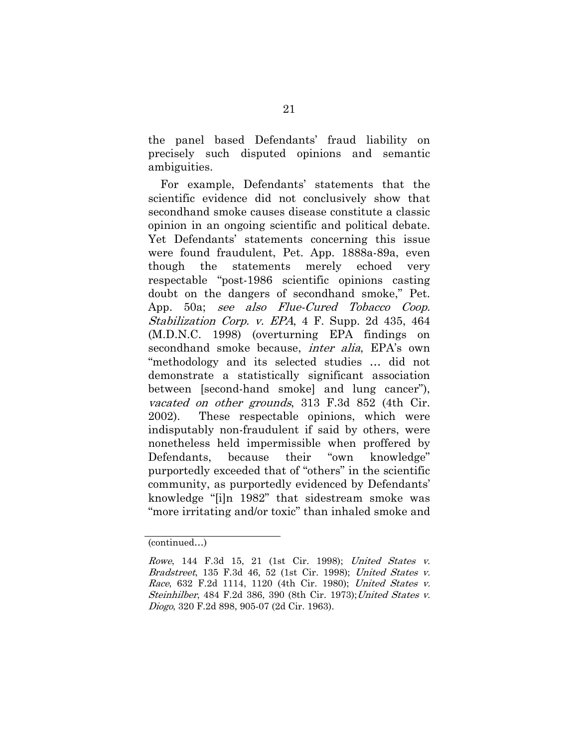the panel based Defendants' fraud liability on precisely such disputed opinions and semantic ambiguities.

For example, Defendants' statements that the scientific evidence did not conclusively show that secondhand smoke causes disease constitute a classic opinion in an ongoing scientific and political debate. Yet Defendants' statements concerning this issue were found fraudulent, Pet. App. 1888a-89a, even though the statements merely echoed very respectable "post-1986 scientific opinions casting doubt on the dangers of secondhand smoke," Pet. App. 50a; see also Flue-Cured Tobacco Coop. Stabilization Corp. v. EPA, 4 F. Supp. 2d 435, 464 (M.D.N.C. 1998) (overturning EPA findings on secondhand smoke because, *inter alia*, EPA's own "methodology and its selected studies … did not demonstrate a statistically significant association between [second-hand smoke] and lung cancer"), vacated on other grounds, 313 F.3d 852 (4th Cir. 2002). These respectable opinions, which were indisputably non-fraudulent if said by others, were nonetheless held impermissible when proffered by Defendants, because their "own knowledge" purportedly exceeded that of "others" in the scientific community, as purportedly evidenced by Defendants' knowledge "[i]n 1982" that sidestream smoke was "more irritating and/or toxic" than inhaled smoke and

<sup>(</sup>continued…)

Rowe, 144 F.3d 15, 21 (1st Cir. 1998); United States v. Bradstreet, 135 F.3d 46, 52 (1st Cir. 1998); United States v. Race, 632 F.2d 1114, 1120 (4th Cir. 1980); United States v. Steinhilber, 484 F.2d 386, 390 (8th Cir. 1973); United States v. Diogo, 320 F.2d 898, 905-07 (2d Cir. 1963).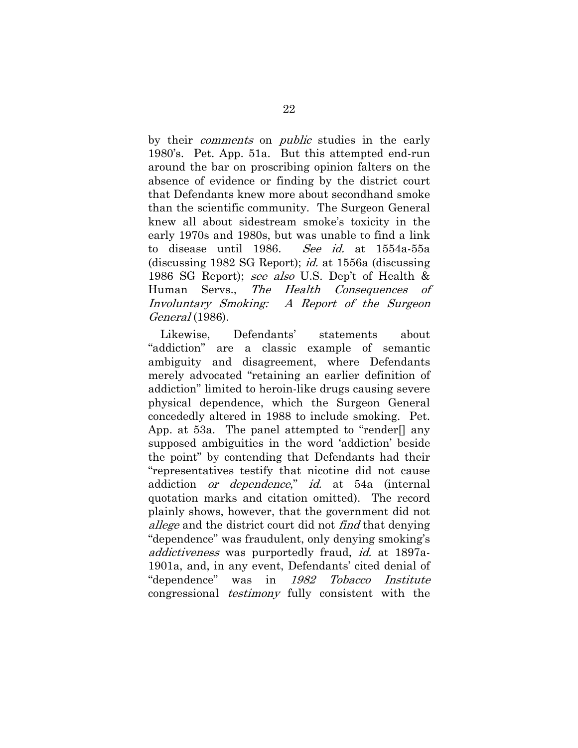by their *comments* on *public* studies in the early 1980's. Pet. App. 51a. But this attempted end-run around the bar on proscribing opinion falters on the absence of evidence or finding by the district court that Defendants knew more about secondhand smoke than the scientific community. The Surgeon General knew all about sidestream smoke's toxicity in the early 1970s and 1980s, but was unable to find a link to disease until 1986. See id. at 1554a-55a (discussing 1982 SG Report); id. at 1556a (discussing 1986 SG Report); see also U.S. Dep't of Health & Human Servs., The Health Consequences of Involuntary Smoking: A Report of the Surgeon General (1986).

Likewise, Defendants' statements about "addiction" are a classic example of semantic ambiguity and disagreement, where Defendants merely advocated "retaining an earlier definition of addiction" limited to heroin-like drugs causing severe physical dependence, which the Surgeon General concededly altered in 1988 to include smoking. Pet. App. at 53a. The panel attempted to "render[] any supposed ambiguities in the word 'addiction' beside the point" by contending that Defendants had their "representatives testify that nicotine did not cause addiction *or dependence*," *id.* at 54a (internal quotation marks and citation omitted). The record plainly shows, however, that the government did not allege and the district court did not find that denying "dependence" was fraudulent, only denying smoking's addictiveness was purportedly fraud, id. at 1897a-1901a, and, in any event, Defendants' cited denial of "dependence" was in 1982 Tobacco Institute congressional testimony fully consistent with the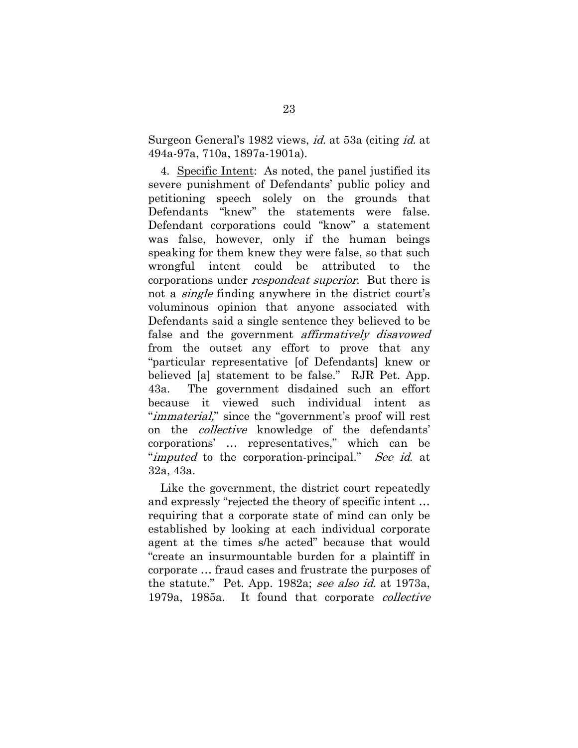Surgeon General's 1982 views, id. at 53a (citing id. at 494a-97a, 710a, 1897a-1901a).

4. Specific Intent: As noted, the panel justified its severe punishment of Defendants' public policy and petitioning speech solely on the grounds that Defendants "knew" the statements were false. Defendant corporations could "know" a statement was false, however, only if the human beings speaking for them knew they were false, so that such wrongful intent could be attributed to the corporations under *respondeat superior*. But there is not a single finding anywhere in the district court's voluminous opinion that anyone associated with Defendants said a single sentence they believed to be false and the government *affirmatively disavowed* from the outset any effort to prove that any "particular representative [of Defendants] knew or believed [a] statement to be false." RJR Pet. App. 43a. The government disdained such an effort because it viewed such individual intent as "*immaterial*," since the "government's proof will rest on the *collective* knowledge of the defendants' corporations' … representatives," which can be "*imputed* to the corporation-principal." See id. at 32a, 43a.

Like the government, the district court repeatedly and expressly "rejected the theory of specific intent … requiring that a corporate state of mind can only be established by looking at each individual corporate agent at the times s/he acted" because that would "create an insurmountable burden for a plaintiff in corporate … fraud cases and frustrate the purposes of the statute." Pet. App. 1982a; see also id. at 1973a, 1979a, 1985a. It found that corporate collective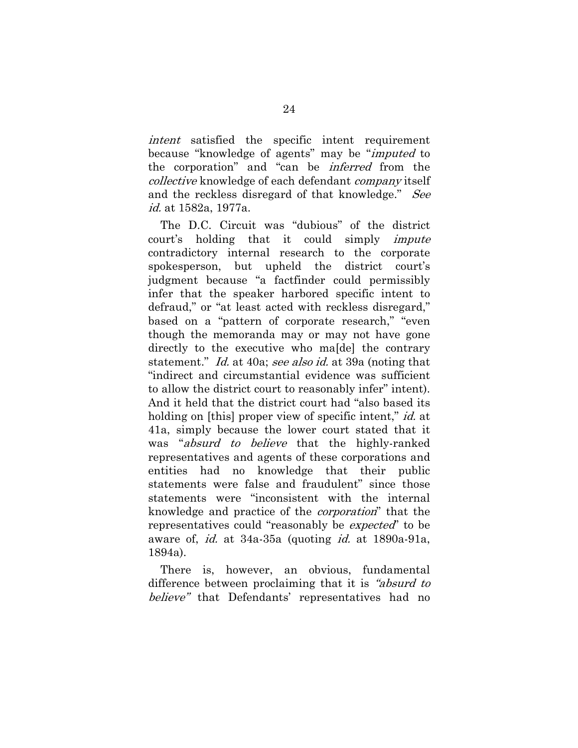intent satisfied the specific intent requirement because "knowledge of agents" may be "imputed to the corporation" and "can be inferred from the collective knowledge of each defendant company itself and the reckless disregard of that knowledge." See id. at 1582a, 1977a.

The D.C. Circuit was "dubious" of the district court's holding that it could simply *impute* contradictory internal research to the corporate spokesperson, but upheld the district court's judgment because "a factfinder could permissibly infer that the speaker harbored specific intent to defraud," or "at least acted with reckless disregard," based on a "pattern of corporate research," "even though the memoranda may or may not have gone directly to the executive who ma[de] the contrary statement." Id. at 40a; see also id. at 39a (noting that "indirect and circumstantial evidence was sufficient to allow the district court to reasonably infer" intent). And it held that the district court had "also based its holding on [this] proper view of specific intent," *id.* at 41a, simply because the lower court stated that it was "*absurd to believe* that the highly-ranked representatives and agents of these corporations and entities had no knowledge that their public statements were false and fraudulent" since those statements were "inconsistent with the internal knowledge and practice of the corporation" that the representatives could "reasonably be *expected*" to be aware of, id. at 34a-35a (quoting id. at 1890a-91a, 1894a).

There is, however, an obvious, fundamental difference between proclaiming that it is "absurd to believe" that Defendants' representatives had no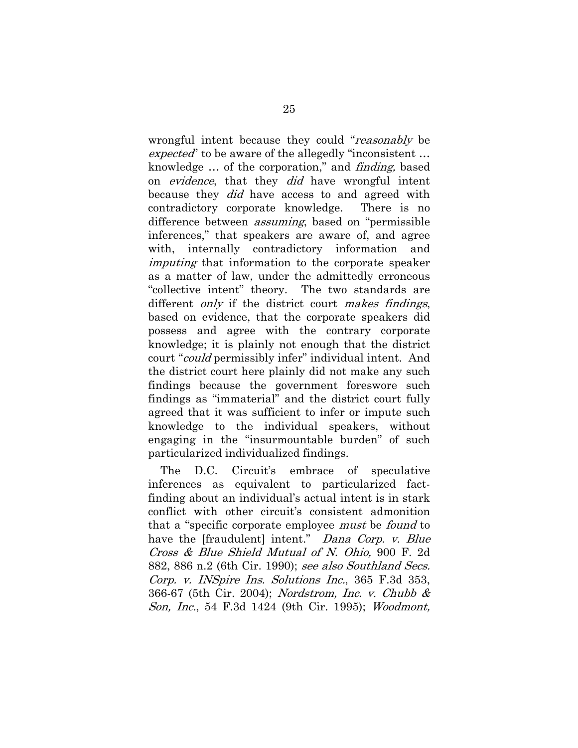wrongful intent because they could "reasonably be expected" to be aware of the allegedly "inconsistent ... knowledge … of the corporation," and finding, based on *evidence*, that they *did* have wrongful intent because they *did* have access to and agreed with contradictory corporate knowledge. There is no difference between assuming, based on "permissible inferences," that speakers are aware of, and agree with, internally contradictory information and imputing that information to the corporate speaker as a matter of law, under the admittedly erroneous "collective intent" theory. The two standards are different *only* if the district court *makes findings*, based on evidence, that the corporate speakers did possess and agree with the contrary corporate knowledge; it is plainly not enough that the district court "could permissibly infer" individual intent. And the district court here plainly did not make any such findings because the government foreswore such findings as "immaterial" and the district court fully agreed that it was sufficient to infer or impute such knowledge to the individual speakers, without engaging in the "insurmountable burden" of such particularized individualized findings.

The D.C. Circuit's embrace of speculative inferences as equivalent to particularized factfinding about an individual's actual intent is in stark conflict with other circuit's consistent admonition that a "specific corporate employee must be found to have the [fraudulent] intent." *Dana Corp. v. Blue* Cross & Blue Shield Mutual of N. Ohio, 900 F. 2d 882, 886 n.2 (6th Cir. 1990); see also Southland Secs. Corp. v. INSpire Ins. Solutions Inc., 365 F.3d 353, 366-67 (5th Cir. 2004); Nordstrom, Inc. v. Chubb & Son, Inc., 54 F.3d 1424 (9th Cir. 1995); Woodmont,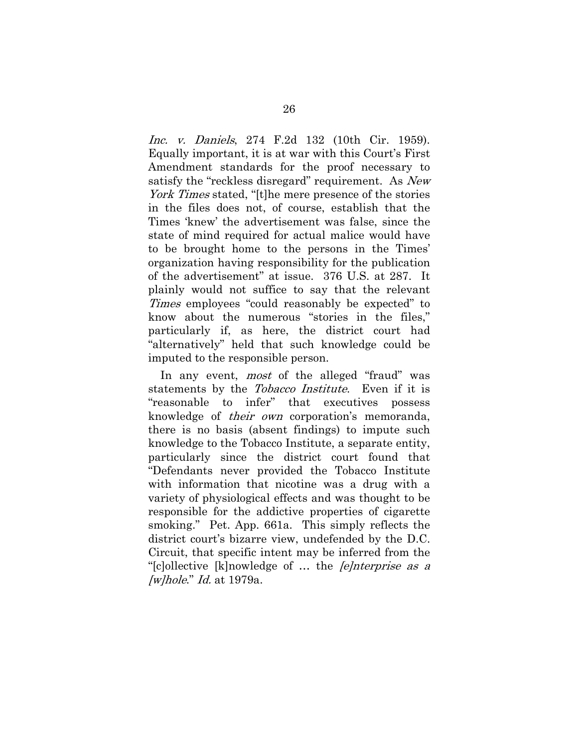Inc. v. Daniels, 274 F.2d 132 (10th Cir. 1959). Equally important, it is at war with this Court's First Amendment standards for the proof necessary to satisfy the "reckless disregard" requirement. As New York Times stated, "[t]he mere presence of the stories in the files does not, of course, establish that the Times 'knew' the advertisement was false, since the state of mind required for actual malice would have to be brought home to the persons in the Times' organization having responsibility for the publication of the advertisement" at issue. 376 U.S. at 287. It plainly would not suffice to say that the relevant Times employees "could reasonably be expected" to know about the numerous "stories in the files," particularly if, as here, the district court had "alternatively" held that such knowledge could be imputed to the responsible person.

In any event, *most* of the alleged "fraud" was statements by the *Tobacco Institute*. Even if it is "reasonable to infer" that executives possess knowledge of their own corporation's memoranda, there is no basis (absent findings) to impute such knowledge to the Tobacco Institute, a separate entity, particularly since the district court found that "Defendants never provided the Tobacco Institute with information that nicotine was a drug with a variety of physiological effects and was thought to be responsible for the addictive properties of cigarette smoking." Pet. App. 661a. This simply reflects the district court's bizarre view, undefended by the D.C. Circuit, that specific intent may be inferred from the "[c]ollective [k]nowledge of … the [e]nterprise as a  $\mu$ <sub>l</sub>hole." Id. at 1979a.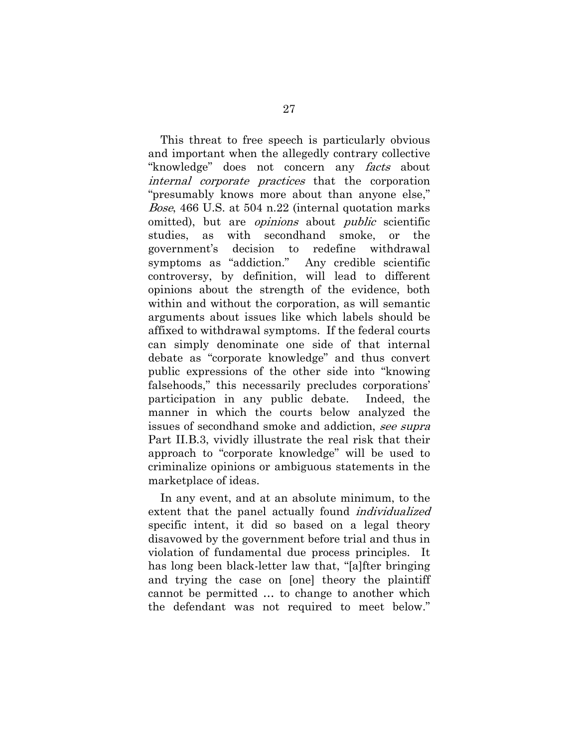This threat to free speech is particularly obvious and important when the allegedly contrary collective "knowledge" does not concern any *facts* about internal corporate practices that the corporation "presumably knows more about than anyone else," Bose, 466 U.S. at 504 n.22 (internal quotation marks omitted), but are *opinions* about *public* scientific studies, as with secondhand smoke, or the government's decision to redefine withdrawal symptoms as "addiction." Any credible scientific controversy, by definition, will lead to different opinions about the strength of the evidence, both within and without the corporation, as will semantic arguments about issues like which labels should be affixed to withdrawal symptoms. If the federal courts can simply denominate one side of that internal debate as "corporate knowledge" and thus convert public expressions of the other side into "knowing falsehoods," this necessarily precludes corporations' participation in any public debate. Indeed, the manner in which the courts below analyzed the issues of secondhand smoke and addiction, see supra Part II.B.3, vividly illustrate the real risk that their approach to "corporate knowledge" will be used to criminalize opinions or ambiguous statements in the marketplace of ideas.

In any event, and at an absolute minimum, to the extent that the panel actually found *individualized* specific intent, it did so based on a legal theory disavowed by the government before trial and thus in violation of fundamental due process principles. It has long been black-letter law that, "[a]fter bringing and trying the case on [one] theory the plaintiff cannot be permitted … to change to another which the defendant was not required to meet below."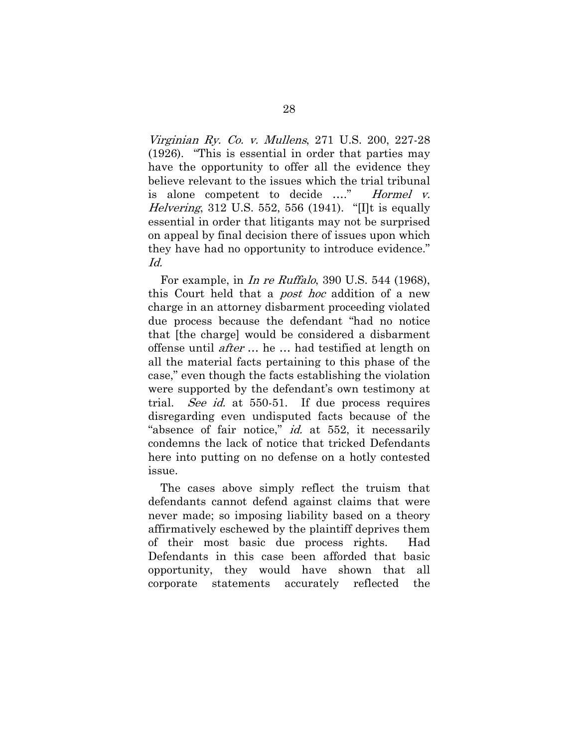Virginian Ry. Co. v. Mullens, 271 U.S. 200, 227-28 (1926). "This is essential in order that parties may have the opportunity to offer all the evidence they believe relevant to the issues which the trial tribunal is alone competent to decide ...." Hormel v. Helvering, 312 U.S. 552, 556 (1941). "[I]t is equally essential in order that litigants may not be surprised on appeal by final decision there of issues upon which they have had no opportunity to introduce evidence." Id.

For example, in *In re Ruffalo*, 390 U.S. 544 (1968), this Court held that a *post hoc* addition of a new charge in an attorney disbarment proceeding violated due process because the defendant "had no notice that [the charge] would be considered a disbarment offense until after … he … had testified at length on all the material facts pertaining to this phase of the case," even though the facts establishing the violation were supported by the defendant's own testimony at trial. *See id.* at 550-51. If due process requires disregarding even undisputed facts because of the "absence of fair notice," *id.* at 552, it necessarily condemns the lack of notice that tricked Defendants here into putting on no defense on a hotly contested issue.

The cases above simply reflect the truism that defendants cannot defend against claims that were never made; so imposing liability based on a theory affirmatively eschewed by the plaintiff deprives them of their most basic due process rights. Had Defendants in this case been afforded that basic opportunity, they would have shown that all corporate statements accurately reflected the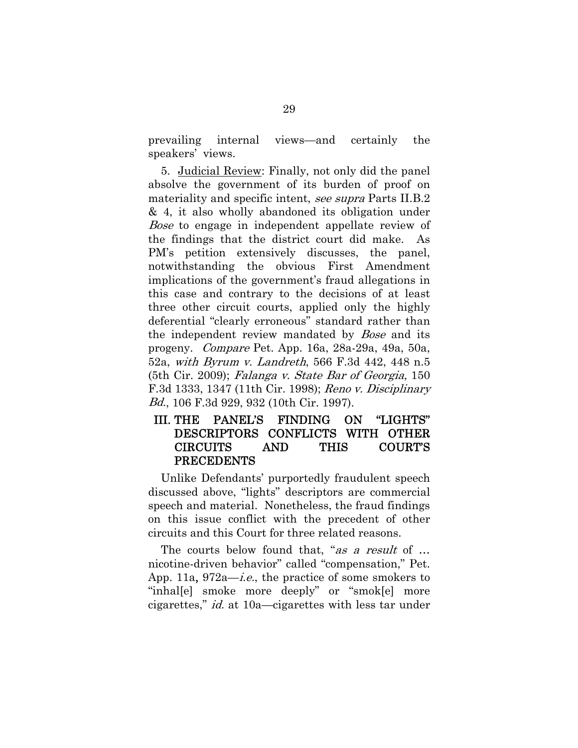prevailing internal views—and certainly the speakers' views.

5. Judicial Review: Finally, not only did the panel absolve the government of its burden of proof on materiality and specific intent, see supra Parts II.B.2 & 4, it also wholly abandoned its obligation under *Bose* to engage in independent appellate review of the findings that the district court did make. As PM's petition extensively discusses, the panel, notwithstanding the obvious First Amendment implications of the government's fraud allegations in this case and contrary to the decisions of at least three other circuit courts, applied only the highly deferential "clearly erroneous" standard rather than the independent review mandated by *Bose* and its progeny. Compare Pet. App. 16a, 28a-29a, 49a, 50a, 52a, with Byrum v. Landreth, 566 F.3d 442, 448 n.5 (5th Cir. 2009); Falanga v. State Bar of Georgia, 150 F.3d 1333, 1347 (11th Cir. 1998); Reno v. Disciplinary Bd., 106 F.3d 929, 932 (10th Cir. 1997).

#### III. THE PANEL'S FINDING ON "LIGHTS" DESCRIPTORS CONFLICTS WITH OTHER CIRCUITS AND THIS COURT'S PRECEDENTS

Unlike Defendants' purportedly fraudulent speech discussed above, "lights" descriptors are commercial speech and material. Nonetheless, the fraud findings on this issue conflict with the precedent of other circuits and this Court for three related reasons.

The courts below found that, "as a result of ... nicotine-driven behavior" called "compensation," Pet. App. 11a, 972a—*i.e.*, the practice of some smokers to "inhal[e] smoke more deeply" or "smok[e] more cigarettes," id. at 10a—cigarettes with less tar under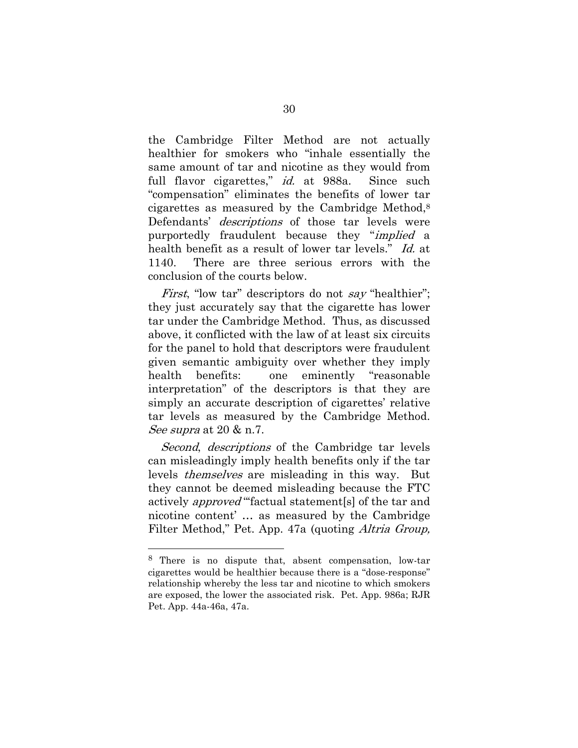the Cambridge Filter Method are not actually healthier for smokers who "inhale essentially the same amount of tar and nicotine as they would from full flavor cigarettes," *id.* at 988a. Since such "compensation" eliminates the benefits of lower tar cigarettes as measured by the Cambridge Method,8 Defendants' *descriptions* of those tar levels were purportedly fraudulent because they "implied a health benefit as a result of lower tar levels." Id. at 1140. There are three serious errors with the conclusion of the courts below.

*First*, "low tar" descriptors do not say "healthier"; they just accurately say that the cigarette has lower tar under the Cambridge Method. Thus, as discussed above, it conflicted with the law of at least six circuits for the panel to hold that descriptors were fraudulent given semantic ambiguity over whether they imply health benefits: one eminently "reasonable interpretation" of the descriptors is that they are simply an accurate description of cigarettes' relative tar levels as measured by the Cambridge Method. See supra at 20 & n.7.

Second, descriptions of the Cambridge tar levels can misleadingly imply health benefits only if the tar levels themselves are misleading in this way. But they cannot be deemed misleading because the FTC actively *approved* "factual statement<sup>[s]</sup> of the tar and nicotine content' … as measured by the Cambridge Filter Method," Pet. App. 47a (quoting *Altria Group*,

1

<sup>8</sup> There is no dispute that, absent compensation, low-tar cigarettes would be healthier because there is a "dose-response" relationship whereby the less tar and nicotine to which smokers are exposed, the lower the associated risk. Pet. App. 986a; RJR Pet. App. 44a-46a, 47a.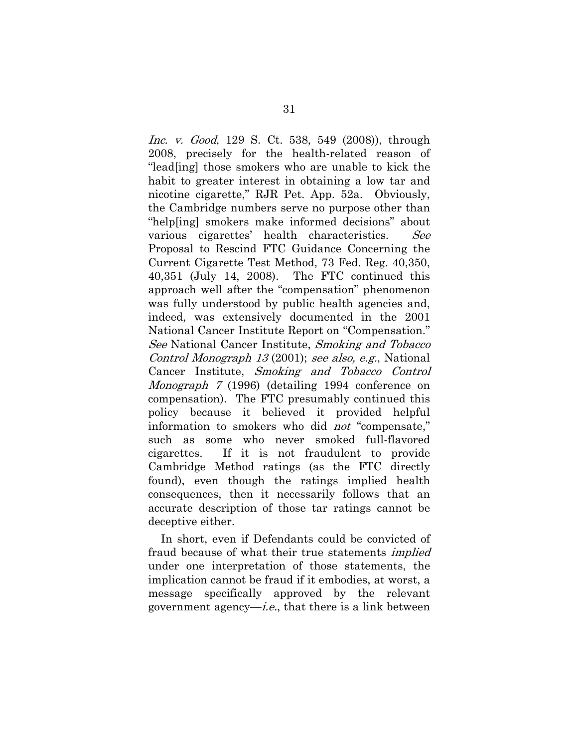Inc. v. Good, 129 S. Ct. 538, 549 (2008)), through 2008, precisely for the health-related reason of "lead[ing] those smokers who are unable to kick the habit to greater interest in obtaining a low tar and nicotine cigarette," RJR Pet. App. 52a. Obviously, the Cambridge numbers serve no purpose other than "help[ing] smokers make informed decisions" about various cigarettes' health characteristics. See Proposal to Rescind FTC Guidance Concerning the Current Cigarette Test Method, 73 Fed. Reg. 40,350, 40,351 (July 14, 2008). The FTC continued this approach well after the "compensation" phenomenon was fully understood by public health agencies and, indeed, was extensively documented in the 2001 National Cancer Institute Report on "Compensation." See National Cancer Institute, Smoking and Tobacco Control Monograph 13 (2001); see also, e.g., National Cancer Institute, Smoking and Tobacco Control Monograph 7 (1996) (detailing 1994 conference on compensation). The FTC presumably continued this policy because it believed it provided helpful information to smokers who did *not* "compensate," such as some who never smoked full-flavored cigarettes. If it is not fraudulent to provide Cambridge Method ratings (as the FTC directly found), even though the ratings implied health consequences, then it necessarily follows that an accurate description of those tar ratings cannot be deceptive either.

In short, even if Defendants could be convicted of fraud because of what their true statements *implied* under one interpretation of those statements, the implication cannot be fraud if it embodies, at worst, a message specifically approved by the relevant government agency—*i.e.*, that there is a link between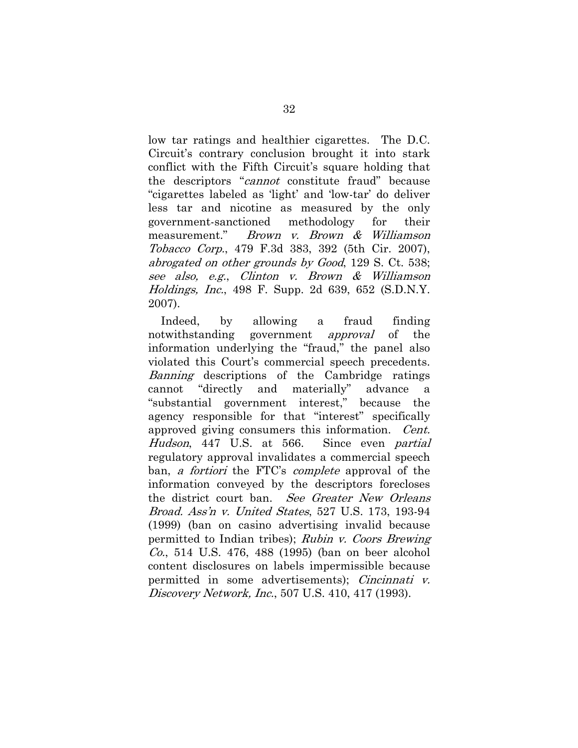low tar ratings and healthier cigarettes. The D.C. Circuit's contrary conclusion brought it into stark conflict with the Fifth Circuit's square holding that the descriptors "cannot constitute fraud" because "cigarettes labeled as 'light' and 'low-tar' do deliver less tar and nicotine as measured by the only government-sanctioned methodology for their measurement." Brown v. Brown & Williamson Tobacco Corp., 479 F.3d 383, 392 (5th Cir. 2007), abrogated on other grounds by Good, 129 S. Ct. 538; see also, e.g., Clinton v. Brown & Williamson Holdings, Inc., 498 F. Supp. 2d 639, 652 (S.D.N.Y. 2007).

Indeed, by allowing a fraud finding notwithstanding government *approval* of the information underlying the "fraud," the panel also violated this Court's commercial speech precedents. Banning descriptions of the Cambridge ratings cannot "directly and materially" advance a "substantial government interest," because the agency responsible for that "interest" specifically approved giving consumers this information. Cent. Hudson, 447 U.S. at 566. Since even partial regulatory approval invalidates a commercial speech ban, *a fortiori* the FTC's *complete* approval of the information conveyed by the descriptors forecloses the district court ban. See Greater New Orleans Broad. Ass'n v. United States, 527 U.S. 173, 193-94 (1999) (ban on casino advertising invalid because permitted to Indian tribes); Rubin v. Coors Brewing Co., 514 U.S. 476, 488 (1995) (ban on beer alcohol content disclosures on labels impermissible because permitted in some advertisements); Cincinnati v. Discovery Network, Inc., 507 U.S. 410, 417 (1993).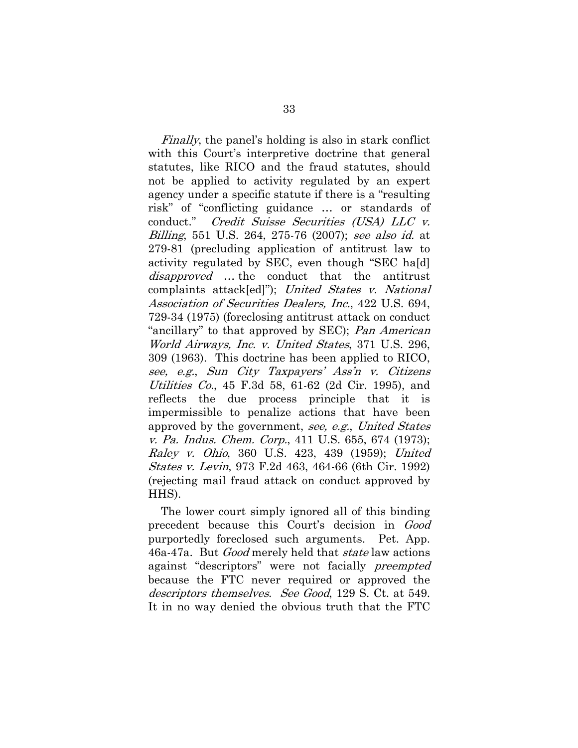Finally, the panel's holding is also in stark conflict with this Court's interpretive doctrine that general statutes, like RICO and the fraud statutes, should not be applied to activity regulated by an expert agency under a specific statute if there is a "resulting risk" of "conflicting guidance … or standards of conduct." Credit Suisse Securities (USA) LLC v. Billing, 551 U.S. 264, 275-76 (2007); see also id. at 279-81 (precluding application of antitrust law to activity regulated by SEC, even though "SEC ha[d] disapproved ... the conduct that the antitrust complaints attack[ed]"); United States v. National Association of Securities Dealers, Inc., 422 U.S. 694, 729-34 (1975) (foreclosing antitrust attack on conduct "ancillary" to that approved by SEC); Pan American World Airways, Inc. v. United States, 371 U.S. 296, 309 (1963). This doctrine has been applied to RICO, see, e.g., Sun City Taxpayers' Ass'n v. Citizens Utilities Co., 45 F.3d 58, 61-62 (2d Cir. 1995), and reflects the due process principle that it is impermissible to penalize actions that have been approved by the government, see, e.g., United States v. Pa. Indus. Chem. Corp., 411 U.S. 655, 674 (1973); Raley v. Ohio, 360 U.S. 423, 439 (1959); United States v. Levin, 973 F.2d 463, 464-66 (6th Cir. 1992) (rejecting mail fraud attack on conduct approved by HHS).

The lower court simply ignored all of this binding precedent because this Court's decision in Good purportedly foreclosed such arguments. Pet. App. 46a-47a. But Good merely held that state law actions against "descriptors" were not facially preempted because the FTC never required or approved the descriptors themselves. See Good, 129 S. Ct. at 549. It in no way denied the obvious truth that the FTC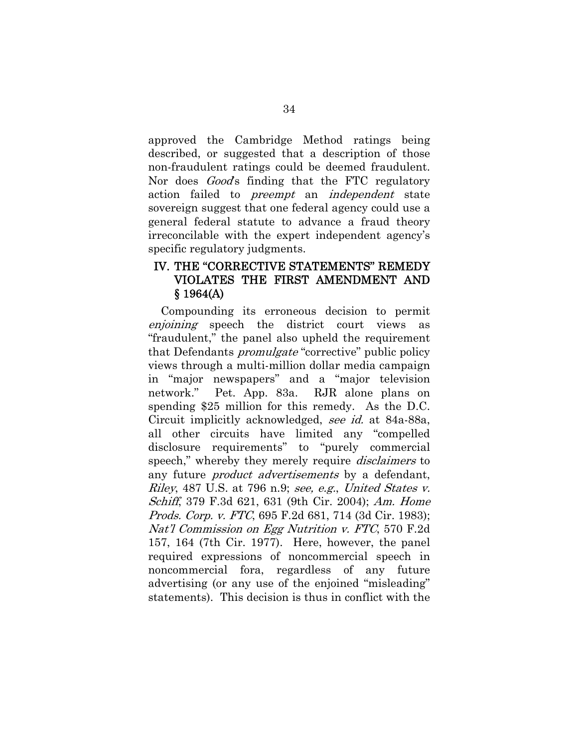approved the Cambridge Method ratings being described, or suggested that a description of those non-fraudulent ratings could be deemed fraudulent. Nor does *Good's* finding that the FTC regulatory action failed to preempt an independent state sovereign suggest that one federal agency could use a general federal statute to advance a fraud theory irreconcilable with the expert independent agency's specific regulatory judgments.

### IV. THE "CORRECTIVE STATEMENTS" REMEDY VIOLATES THE FIRST AMENDMENT AND  $$1964(A)$

Compounding its erroneous decision to permit enjoining speech the district court views as "fraudulent," the panel also upheld the requirement that Defendants *promulgate* "corrective" public policy views through a multi-million dollar media campaign in "major newspapers" and a "major television network." Pet. App. 83a. RJR alone plans on spending \$25 million for this remedy. As the D.C. Circuit implicitly acknowledged, see id. at 84a-88a, all other circuits have limited any "compelled disclosure requirements" to "purely commercial speech," whereby they merely require *disclaimers* to any future *product advertisements* by a defendant, Riley, 487 U.S. at 796 n.9; see, e.g., United States v. Schiff, 379 F.3d 621, 631 (9th Cir. 2004); Am. Home Prods. Corp. v. FTC, 695 F.2d 681, 714 (3d Cir. 1983); Nat'l Commission on Egg Nutrition v. FTC, 570 F.2d 157, 164 (7th Cir. 1977). Here, however, the panel required expressions of noncommercial speech in noncommercial fora, regardless of any future advertising (or any use of the enjoined "misleading" statements). This decision is thus in conflict with the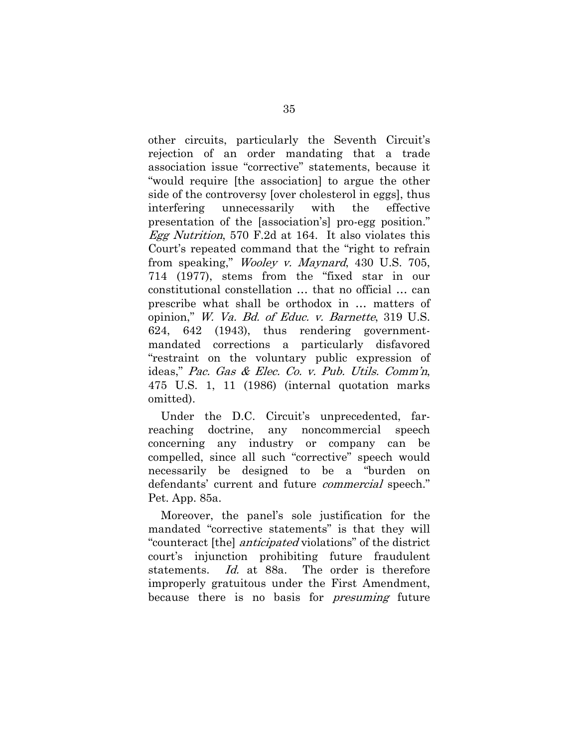other circuits, particularly the Seventh Circuit's rejection of an order mandating that a trade association issue "corrective" statements, because it "would require [the association] to argue the other side of the controversy [over cholesterol in eggs], thus interfering unnecessarily with the effective presentation of the [association's] pro-egg position." Egg Nutrition, 570 F.2d at 164. It also violates this Court's repeated command that the "right to refrain from speaking," *Wooley v. Maynard*, 430 U.S. 705, 714 (1977), stems from the "fixed star in our constitutional constellation … that no official … can prescribe what shall be orthodox in … matters of opinion," W. Va. Bd. of Educ. v. Barnette, 319 U.S. 624, 642 (1943), thus rendering governmentmandated corrections a particularly disfavored "restraint on the voluntary public expression of ideas," Pac. Gas & Elec. Co. v. Pub. Utils. Comm'n, 475 U.S. 1, 11 (1986) (internal quotation marks omitted).

Under the D.C. Circuit's unprecedented, farreaching doctrine, any noncommercial speech concerning any industry or company can be compelled, since all such "corrective" speech would necessarily be designed to be a "burden on defendants' current and future *commercial* speech." Pet. App. 85a.

Moreover, the panel's sole justification for the mandated "corrective statements" is that they will "counteract [the] anticipated violations" of the district court's injunction prohibiting future fraudulent statements. Id. at 88a. The order is therefore improperly gratuitous under the First Amendment, because there is no basis for *presuming* future